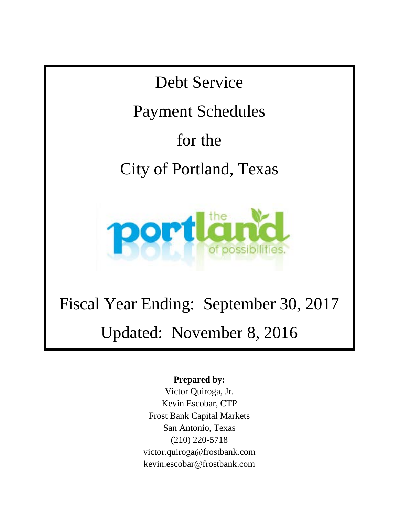Debt Service

Payment Schedules

for the

City of Portland, Texas



# Fiscal Year Ending: September 30, 2017 Updated: November 8, 2016

### **Prepared by:**

Victor Quiroga, Jr. Kevin Escobar, CTP Frost Bank Capital Markets San Antonio, Texas (210) 220-5718 victor.quiroga@frostbank.com kevin.escobar@frostbank.com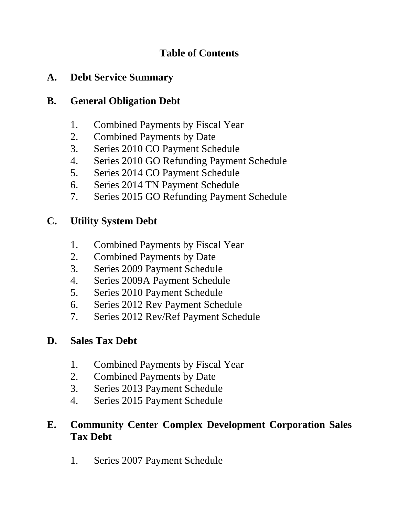### **Table of Contents**

### **A. Debt Service Summary**

### **B. General Obligation Debt**

- 1. Combined Payments by Fiscal Year
- 2. Combined Payments by Date
- 3. Series 2010 CO Payment Schedule
- 4. Series 2010 GO Refunding Payment Schedule
- 5. Series 2014 CO Payment Schedule
- 6. Series 2014 TN Payment Schedule
- 7. Series 2015 GO Refunding Payment Schedule

## **C. Utility System Debt**

- 1. Combined Payments by Fiscal Year
- 2. Combined Payments by Date
- 3. Series 2009 Payment Schedule
- 4. Series 2009A Payment Schedule
- 5. Series 2010 Payment Schedule
- 6. Series 2012 Rev Payment Schedule
- 7. Series 2012 Rev/Ref Payment Schedule

## **D. Sales Tax Debt**

- 1. Combined Payments by Fiscal Year
- 2. Combined Payments by Date
- 3. Series 2013 Payment Schedule
- 4. Series 2015 Payment Schedule

### **E. Community Center Complex Development Corporation Sales Tax Debt**

1. Series 2007 Payment Schedule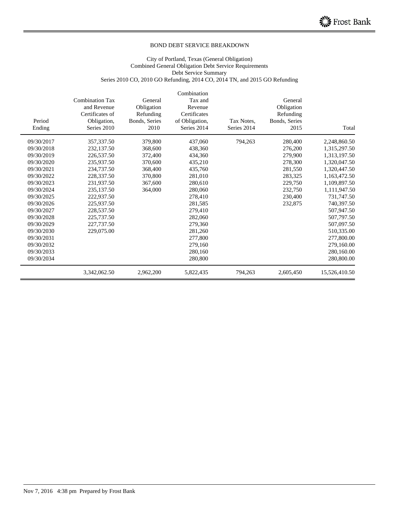#### City of Portland, Texas (General Obligation) Combined General Obligation Debt Service Requirements Debt Service Summary Series 2010 CO, 2010 GO Refunding, 2014 CO, 2014 TN, and 2015 GO Refunding

| Period<br>Ending | <b>Combination Tax</b><br>and Revenue<br>Certificates of<br>Obligation,<br>Series 2010 | General<br>Obligation<br>Refunding<br>Bonds, Series<br>2010 | Combination<br>Tax and<br>Revenue<br>Certificates<br>of Obligation,<br>Series 2014 | Tax Notes,<br>Series 2014 | General<br>Obligation<br>Refunding<br>Bonds, Series<br>2015 | Total         |
|------------------|----------------------------------------------------------------------------------------|-------------------------------------------------------------|------------------------------------------------------------------------------------|---------------------------|-------------------------------------------------------------|---------------|
| 09/30/2017       | 357,337.50                                                                             | 379,800                                                     | 437,060                                                                            | 794,263                   | 280,400                                                     | 2,248,860.50  |
| 09/30/2018       | 232,137.50                                                                             | 368,600                                                     | 438,360                                                                            |                           | 276,200                                                     | 1,315,297.50  |
| 09/30/2019       | 226,537.50                                                                             | 372,400                                                     | 434,360                                                                            |                           | 279,900                                                     | 1,313,197.50  |
| 09/30/2020       | 235,937.50                                                                             | 370,600                                                     | 435,210                                                                            |                           | 278,300                                                     | 1,320,047.50  |
| 09/30/2021       | 234,737.50                                                                             | 368,400                                                     | 435,760                                                                            |                           | 281,550                                                     | 1,320,447.50  |
| 09/30/2022       | 228,337.50                                                                             | 370,800                                                     | 281,010                                                                            |                           | 283,325                                                     | 1,163,472.50  |
| 09/30/2023       | 231,937.50                                                                             | 367,600                                                     | 280,610                                                                            |                           | 229,750                                                     | 1,109,897.50  |
| 09/30/2024       | 235,137.50                                                                             | 364,000                                                     | 280,060                                                                            |                           | 232,750                                                     | 1,111,947.50  |
| 09/30/2025       | 222,937.50                                                                             |                                                             | 278,410                                                                            |                           | 230,400                                                     | 731,747.50    |
| 09/30/2026       | 225,937.50                                                                             |                                                             | 281,585                                                                            |                           | 232,875                                                     | 740,397.50    |
| 09/30/2027       | 228,537.50                                                                             |                                                             | 279,410                                                                            |                           |                                                             | 507,947.50    |
| 09/30/2028       | 225,737.50                                                                             |                                                             | 282,060                                                                            |                           |                                                             | 507,797.50    |
| 09/30/2029       | 227,737.50                                                                             |                                                             | 279,360                                                                            |                           |                                                             | 507,097.50    |
| 09/30/2030       | 229,075.00                                                                             |                                                             | 281,260                                                                            |                           |                                                             | 510,335.00    |
| 09/30/2031       |                                                                                        |                                                             | 277,800                                                                            |                           |                                                             | 277,800.00    |
| 09/30/2032       |                                                                                        |                                                             | 279,160                                                                            |                           |                                                             | 279,160.00    |
| 09/30/2033       |                                                                                        |                                                             | 280,160                                                                            |                           |                                                             | 280,160.00    |
| 09/30/2034       |                                                                                        |                                                             | 280,800                                                                            |                           |                                                             | 280,800.00    |
|                  | 3,342,062.50                                                                           | 2,962,200                                                   | 5,822,435                                                                          | 794,263                   | 2,605,450                                                   | 15,526,410.50 |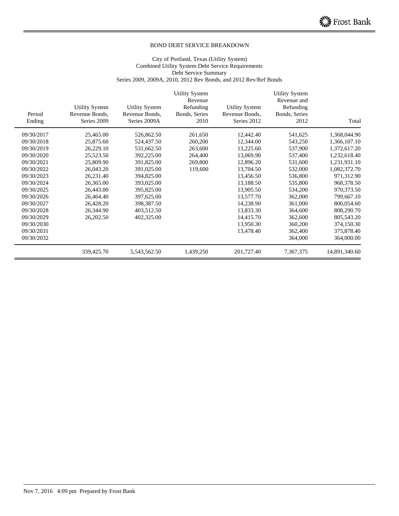#### City of Portland, Texas (Utility System) Combined Utility System Debt Service Requirements Debt Service Summary Series 2009, 2009A, 2010, 2012 Rev Bonds, and 2012 Rev/Ref Bonds

|            |                               |                                | <b>Utility System</b> |                               | <b>Utility System</b>    |               |
|------------|-------------------------------|--------------------------------|-----------------------|-------------------------------|--------------------------|---------------|
|            |                               |                                | Revenue<br>Refunding  |                               | Revenue and<br>Refunding |               |
|            | <b>Utility System</b>         | <b>Utility System</b>          |                       | <b>Utility System</b>         | Bonds, Series            |               |
| Period     | Revenue Bonds,<br>Series 2009 | Revenue Bonds,<br>Series 2009A | Bonds, Series         | Revenue Bonds,<br>Series 2012 |                          | Total         |
| Ending     |                               |                                | 2010                  |                               | 2012                     |               |
| 09/30/2017 | 25,465.00                     | 526,862.50                     | 261,650               | 12,442.40                     | 541,625                  | 1,368,044.90  |
| 09/30/2018 | 25,875.60                     | 524,437.50                     | 260,200               | 12,344.00                     | 543,250                  | 1,366,107.10  |
| 09/30/2019 | 26,229.10                     | 531,662.50                     | 263,600               | 13,225.60                     | 537,900                  | 1,372,617.20  |
| 09/30/2020 | 25,523.50                     | 392,225.00                     | 264,400               | 13,069.90                     | 537,400                  | 1,232,618.40  |
| 09/30/2021 | 25,809.90                     | 391,825.00                     | 269,800               | 12,896.20                     | 531,600                  | 1,231,931.10  |
| 09/30/2022 | 26,043.20                     | 391,025.00                     | 119,600               | 13,704.50                     | 532,000                  | 1,082,372.70  |
| 09/30/2023 | 26,231.40                     | 394,825.00                     |                       | 13,456.50                     | 536,800                  | 971,312.90    |
| 09/30/2024 | 26,365.00                     | 393,025.00                     |                       | 13,188.50                     | 535,800                  | 968,378.50    |
| 09/30/2025 | 26,443.00                     | 395,825.00                     |                       | 13,905.50                     | 534,200                  | 970,373.50    |
| 09/30/2026 | 26,464.40                     | 397,625.00                     |                       | 13,577.70                     | 362,000                  | 799,667.10    |
| 09/30/2027 | 26,428.20                     | 398,387.50                     |                       | 14,238.90                     | 361,000                  | 800,054.60    |
| 09/30/2028 | 26,344.90                     | 403,512.50                     |                       | 13,833.30                     | 364,600                  | 808,290.70    |
| 09/30/2029 | 26,202.50                     | 402,325.00                     |                       | 14,415.70                     | 362,600                  | 805,543.20    |
| 09/30/2030 |                               |                                |                       | 13,950.30                     | 360,200                  | 374,150.30    |
| 09/30/2031 |                               |                                |                       | 13,478.40                     | 362,400                  | 375,878.40    |
| 09/30/2032 |                               |                                |                       |                               | 364,000                  | 364,000.00    |
|            | 339,425.70                    | 5,543,562.50                   | 1,439,250             | 201,727.40                    | 7,367,375                | 14,891,340.60 |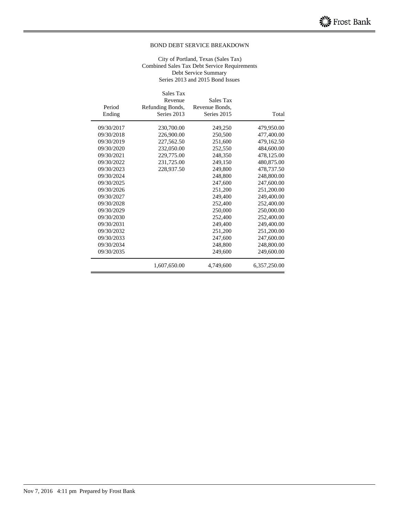#### City of Portland, Texas (Sales Tax) Combined Sales Tax Debt Service Requirements Debt Service Summary Series 2013 and 2015 Bond Issues

|            | Sales Tax<br>Revenue | Sales Tax      |                |
|------------|----------------------|----------------|----------------|
| Period     |                      | Revenue Bonds. |                |
|            | Refunding Bonds,     |                |                |
| Ending     | Series 2013          | Series 2015    | Total          |
| 09/30/2017 | 230,700.00           | 249,250        | 479,950.00     |
| 09/30/2018 | 226,900.00           | 250,500        | 477,400.00     |
| 09/30/2019 | 227,562.50           | 251,600        | 479,162.50     |
| 09/30/2020 | 232,050.00           | 252,550        | 484,600.00     |
| 09/30/2021 | 229,775.00           | 248,350        | 478,125.00     |
| 09/30/2022 | 231,725.00           | 249,150        | 480,875.00     |
| 09/30/2023 | 228,937.50           | 249,800        | 478,737.50     |
| 09/30/2024 |                      | 248,800        | 248,800.00     |
| 09/30/2025 |                      | 247,600        | 247,600.00     |
| 09/30/2026 |                      | 251,200        | 251,200.00     |
| 09/30/2027 |                      | 249,400        | 249,400.00     |
| 09/30/2028 |                      | 252,400        | 252,400.00     |
| 09/30/2029 |                      | 250,000        | 250,000.00     |
| 09/30/2030 |                      | 252,400        | 252,400.00     |
| 09/30/2031 |                      | 249,400        | 249,400.00     |
| 09/30/2032 |                      | 251,200        | 251,200.00     |
| 09/30/2033 |                      | 247,600        | 247,600.00     |
| 09/30/2034 |                      | 248,800        | 248,800.00     |
| 09/30/2035 |                      | 249,600        | 249,600.00     |
|            | 1,607,650.00         | 4,749,600      | 6, 357, 250.00 |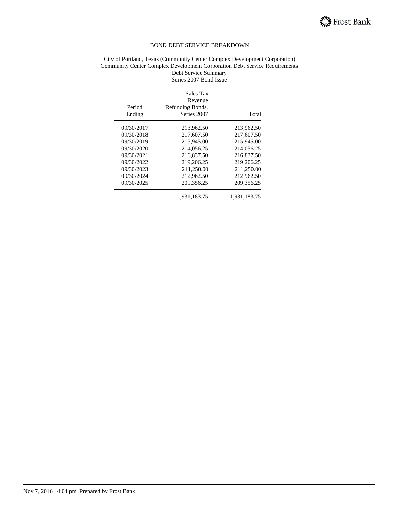#### City of Portland, Texas (Community Center Complex Development Corporation) Community Center Complex Development Corporation Debt Service Requirements Debt Service Summary

Series 2007 Bond Issue

| Period<br>Ending | Sales Tax<br>Revenue<br>Refunding Bonds,<br>Series 2007 | Total        |
|------------------|---------------------------------------------------------|--------------|
| 09/30/2017       | 213,962.50                                              | 213,962.50   |
| 09/30/2018       | 217,607.50                                              | 217,607.50   |
| 09/30/2019       | 215,945.00                                              | 215,945.00   |
| 09/30/2020       | 214,056.25                                              | 214,056.25   |
| 09/30/2021       | 216,837.50                                              | 216,837.50   |
| 09/30/2022       | 219,206.25                                              | 219,206.25   |
| 09/30/2023       | 211,250.00                                              | 211,250.00   |
| 09/30/2024       | 212,962.50                                              | 212,962.50   |
| 09/30/2025       | 209, 356. 25                                            | 209, 356. 25 |
|                  | 1,931,183.75                                            | 1,931,183.75 |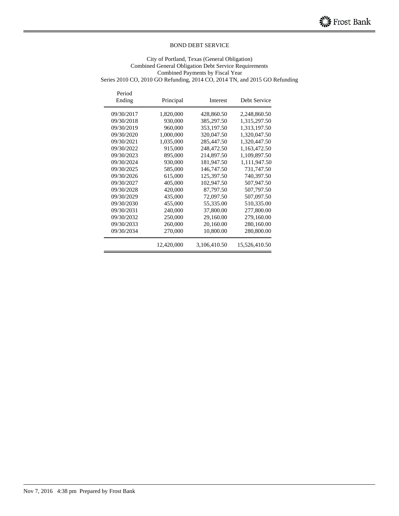City of Portland, Texas (General Obligation) Combined General Obligation Debt Service Requirements Combined Payments by Fiscal Year Series 2010 CO, 2010 GO Refunding, 2014 CO, 2014 TN, and 2015 GO Refunding

Period Ending Principal Interest Debt Service 09/30/2017 1,820,000 428,860.50 2,248,860.50 09/30/2018 930,000 385,297.50 1,315,297.50 09/30/2019 960,000 353,197.50 1,313,197.50 09/30/2020 1,000,000 320,047.50 1,320,047.50 09/30/2021 1,035,000 285,447.50 1,320,447.50 09/30/2022 915,000 248,472.50 1,163,472.50 09/30/2023 895,000 214,897.50 1,109,897.50 09/30/2024 930,000 181,947.50 1,111,947.50 09/30/2025 585,000 146,747.50 731,747.50 09/30/2026 615,000 125,397.50 740,397.50 09/30/2027 405,000 102,947.50 507,947.50 09/30/2028 420,000 87,797.50 507,797.50<br>09/30/2029 435,000 72,097.50 507,097.50 435,000 72,097.50 507,097.50<br>455,000 55,335.00 510,335.00 09/30/2030 455,000 55,335.00 09/30/2031 240,000 37,800.00 277,800.00 09/30/2032 250,000 29,160.00 279,160.00 09/30/2033 260,000 20,160.00 280,160.00 09/30/2034 270,000 10,800.00 280,800.00 12,420,000 3,106,410.50 15,526,410.50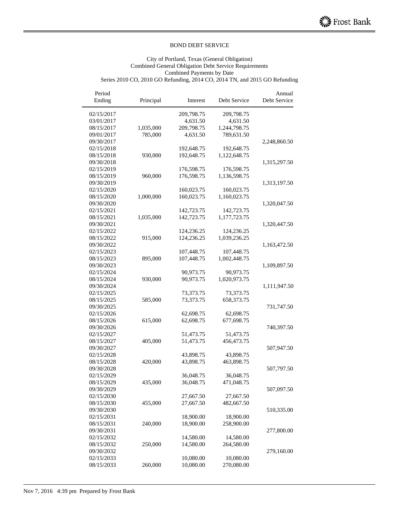### City of Portland, Texas (General Obligation) Combined General Obligation Debt Service Requirements Combined Payments by Date

Series 2010 CO, 2010 GO Refunding, 2014 CO, 2014 TN, and 2015 GO Refunding

| Period<br>Ending | Principal | Interest   | Debt Service | Annual<br>Debt Service |
|------------------|-----------|------------|--------------|------------------------|
| 02/15/2017       |           | 209,798.75 | 209,798.75   |                        |
| 03/01/2017       |           | 4,631.50   | 4,631.50     |                        |
| 08/15/2017       | 1,035,000 | 209,798.75 | 1,244,798.75 |                        |
| 09/01/2017       | 785,000   | 4,631.50   | 789,631.50   |                        |
| 09/30/2017       |           |            |              | 2,248,860.50           |
| 02/15/2018       |           | 192,648.75 | 192,648.75   |                        |
| 08/15/2018       | 930,000   | 192,648.75 | 1,122,648.75 |                        |
| 09/30/2018       |           |            |              | 1,315,297.50           |
| 02/15/2019       |           | 176,598.75 | 176,598.75   |                        |
| 08/15/2019       | 960,000   | 176,598.75 | 1,136,598.75 |                        |
| 09/30/2019       |           |            |              | 1,313,197.50           |
| 02/15/2020       |           | 160,023.75 | 160,023.75   |                        |
| 08/15/2020       | 1,000,000 | 160,023.75 | 1,160,023.75 |                        |
| 09/30/2020       |           |            |              | 1,320,047.50           |
| 02/15/2021       |           | 142,723.75 | 142,723.75   |                        |
| 08/15/2021       | 1,035,000 | 142,723.75 | 1,177,723.75 |                        |
| 09/30/2021       |           |            |              | 1,320,447.50           |
| 02/15/2022       |           | 124,236.25 | 124,236.25   |                        |
| 08/15/2022       | 915,000   | 124,236.25 | 1,039,236.25 |                        |
| 09/30/2022       |           |            |              | 1,163,472.50           |
| 02/15/2023       |           | 107,448.75 | 107,448.75   |                        |
| 08/15/2023       | 895,000   | 107,448.75 | 1,002,448.75 |                        |
| 09/30/2023       |           |            |              | 1,109,897.50           |
| 02/15/2024       |           | 90,973.75  | 90,973.75    |                        |
| 08/15/2024       | 930,000   | 90,973.75  | 1,020,973.75 |                        |
| 09/30/2024       |           |            |              | 1,111,947.50           |
| 02/15/2025       |           | 73,373.75  | 73,373.75    |                        |
| 08/15/2025       | 585,000   | 73,373.75  | 658,373.75   |                        |
| 09/30/2025       |           |            |              | 731,747.50             |
| 02/15/2026       |           | 62,698.75  | 62,698.75    |                        |
| 08/15/2026       | 615,000   | 62,698.75  | 677,698.75   |                        |
| 09/30/2026       |           |            |              | 740,397.50             |
| 02/15/2027       |           | 51,473.75  | 51,473.75    |                        |
| 08/15/2027       | 405,000   | 51,473.75  | 456,473.75   |                        |
| 09/30/2027       |           |            |              | 507,947.50             |
| 02/15/2028       |           | 43,898.75  | 43,898.75    |                        |
| 08/15/2028       | 420,000   | 43,898.75  | 463,898.75   |                        |
| 09/30/2028       |           |            |              | 507,797.50             |
| 02/15/2029       |           | 36,048.75  | 36,048.75    |                        |
| 08/15/2029       | 435,000   | 36,048.75  | 471,048.75   |                        |
| 09/30/2029       |           |            |              | 507,097.50             |
| 02/15/2030       |           | 27,667.50  | 27,667.50    |                        |
| 08/15/2030       | 455,000   | 27,667.50  | 482,667.50   |                        |
| 09/30/2030       |           |            |              | 510,335.00             |
| 02/15/2031       |           | 18,900.00  | 18,900.00    |                        |
| 08/15/2031       | 240,000   | 18,900.00  | 258,900.00   |                        |
| 09/30/2031       |           |            |              | 277,800.00             |
| 02/15/2032       |           | 14,580.00  | 14,580.00    |                        |
| 08/15/2032       | 250,000   | 14,580.00  | 264,580.00   |                        |
| 09/30/2032       |           |            |              | 279,160.00             |
| 02/15/2033       |           | 10,080.00  | 10,080.00    |                        |
| 08/15/2033       | 260,000   | 10,080.00  | 270,080.00   |                        |

 $\overline{a}$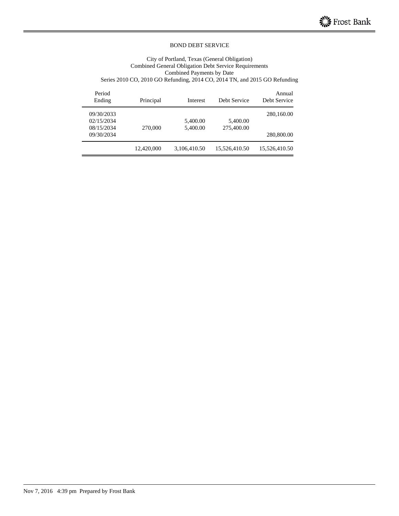#### City of Portland, Texas (General Obligation) Combined General Obligation Debt Service Requirements Combined Payments by Date Series 2010 CO, 2010 GO Refunding, 2014 CO, 2014 TN, and 2015 GO Refunding

| Annual<br>Debt Service | Debt Service  | Interest     | Principal  | Period<br>Ending |
|------------------------|---------------|--------------|------------|------------------|
| 280,160.00             |               |              |            | 09/30/2033       |
|                        | 5,400.00      | 5,400.00     |            | 02/15/2034       |
|                        | 275,400.00    | 5,400.00     | 270,000    | 08/15/2034       |
| 280,800.00             |               |              |            | 09/30/2034       |
| 15,526,410.50          | 15,526,410.50 | 3,106,410.50 | 12,420,000 |                  |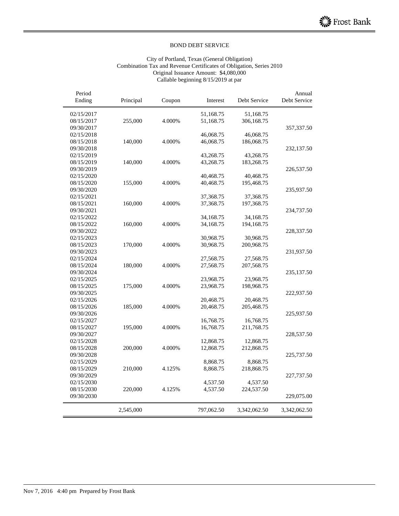#### City of Portland, Texas (General Obligation) Combination Tax and Revenue Certificates of Obligation, Series 2010 Original Issuance Amount: \$4,080,000 Callable beginning 8/15/2019 at par

|              | 51,168.75    |            |        |           |            |
|--------------|--------------|------------|--------|-----------|------------|
|              |              | 51,168.75  |        |           | 02/15/2017 |
|              | 306,168.75   | 51,168.75  | 4.000% | 255,000   | 08/15/2017 |
| 357,337.50   |              |            |        |           | 09/30/2017 |
|              | 46,068.75    | 46,068.75  |        |           | 02/15/2018 |
|              | 186,068.75   | 46,068.75  | 4.000% | 140,000   | 08/15/2018 |
| 232,137.50   |              |            |        |           | 09/30/2018 |
|              | 43,268.75    | 43,268.75  |        |           | 02/15/2019 |
|              | 183,268.75   | 43,268.75  | 4.000% | 140,000   | 08/15/2019 |
| 226,537.50   |              |            |        |           | 09/30/2019 |
|              | 40,468.75    | 40,468.75  |        |           | 02/15/2020 |
|              | 195,468.75   | 40,468.75  | 4.000% | 155,000   | 08/15/2020 |
| 235,937.50   |              |            |        |           | 09/30/2020 |
|              | 37,368.75    | 37,368.75  |        |           | 02/15/2021 |
|              | 197,368.75   | 37,368.75  | 4.000% | 160,000   | 08/15/2021 |
| 234,737.50   |              |            |        |           | 09/30/2021 |
|              | 34,168.75    | 34,168.75  |        |           | 02/15/2022 |
|              | 194,168.75   | 34,168.75  | 4.000% | 160,000   | 08/15/2022 |
| 228,337.50   |              |            |        |           | 09/30/2022 |
|              | 30,968.75    | 30,968.75  |        |           | 02/15/2023 |
|              | 200,968.75   | 30,968.75  | 4.000% | 170,000   | 08/15/2023 |
| 231,937.50   |              |            |        |           | 09/30/2023 |
|              | 27,568.75    | 27,568.75  |        |           | 02/15/2024 |
|              | 207,568.75   | 27,568.75  | 4.000% | 180,000   | 08/15/2024 |
| 235,137.50   |              |            |        |           | 09/30/2024 |
|              | 23,968.75    | 23,968.75  |        |           | 02/15/2025 |
|              | 198,968.75   | 23,968.75  | 4.000% | 175,000   | 08/15/2025 |
| 222,937.50   |              |            |        |           | 09/30/2025 |
|              | 20,468.75    | 20,468.75  |        |           | 02/15/2026 |
|              | 205,468.75   | 20,468.75  | 4.000% | 185,000   | 08/15/2026 |
| 225,937.50   |              |            |        |           | 09/30/2026 |
|              | 16,768.75    | 16,768.75  |        |           | 02/15/2027 |
|              | 211,768.75   | 16,768.75  | 4.000% | 195,000   | 08/15/2027 |
| 228,537.50   |              |            |        |           | 09/30/2027 |
|              | 12,868.75    | 12,868.75  |        |           | 02/15/2028 |
|              | 212,868.75   | 12,868.75  | 4.000% | 200,000   | 08/15/2028 |
| 225,737.50   |              |            |        |           | 09/30/2028 |
|              | 8,868.75     | 8,868.75   |        |           | 02/15/2029 |
|              | 218,868.75   | 8,868.75   | 4.125% | 210,000   | 08/15/2029 |
| 227,737.50   |              |            |        |           | 09/30/2029 |
|              | 4,537.50     | 4,537.50   |        |           | 02/15/2030 |
|              | 224,537.50   | 4,537.50   | 4.125% | 220,000   | 08/15/2030 |
| 229,075.00   |              |            |        |           | 09/30/2030 |
| 3,342,062.50 | 3,342,062.50 | 797,062.50 |        | 2,545,000 |            |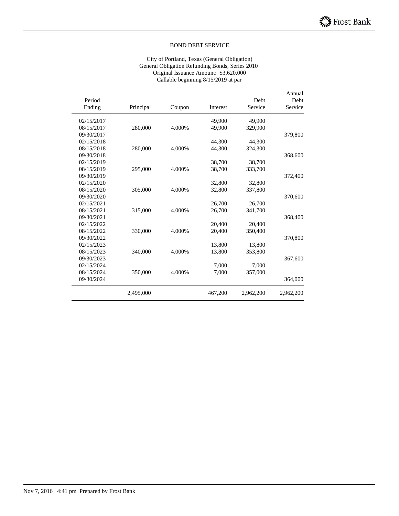#### City of Portland, Texas (General Obligation) General Obligation Refunding Bonds, Series 2010 Original Issuance Amount: \$3,620,000 Callable beginning 8/15/2019 at par

| Period     |           |        |          | Debt      | Annual<br>Debt |
|------------|-----------|--------|----------|-----------|----------------|
| Ending     | Principal | Coupon | Interest | Service   | Service        |
| 02/15/2017 |           |        | 49.900   | 49,900    |                |
| 08/15/2017 | 280,000   | 4.000% | 49.900   | 329,900   |                |
| 09/30/2017 |           |        |          |           | 379,800        |
| 02/15/2018 |           |        | 44,300   | 44,300    |                |
| 08/15/2018 | 280,000   | 4.000% | 44,300   | 324,300   |                |
| 09/30/2018 |           |        |          |           | 368,600        |
| 02/15/2019 |           |        | 38,700   | 38,700    |                |
| 08/15/2019 | 295,000   | 4.000% | 38,700   | 333,700   |                |
| 09/30/2019 |           |        |          |           | 372,400        |
| 02/15/2020 |           |        | 32,800   | 32,800    |                |
| 08/15/2020 | 305,000   | 4.000% | 32,800   | 337,800   |                |
| 09/30/2020 |           |        |          |           | 370,600        |
| 02/15/2021 |           |        | 26,700   | 26,700    |                |
| 08/15/2021 | 315,000   | 4.000% | 26,700   | 341,700   |                |
| 09/30/2021 |           |        |          |           | 368,400        |
| 02/15/2022 |           |        | 20.400   | 20.400    |                |
| 08/15/2022 | 330,000   | 4.000% | 20.400   | 350,400   |                |
| 09/30/2022 |           |        |          |           | 370,800        |
| 02/15/2023 |           |        | 13,800   | 13,800    |                |
| 08/15/2023 | 340,000   | 4.000% | 13,800   | 353,800   |                |
| 09/30/2023 |           |        |          |           | 367,600        |
| 02/15/2024 |           |        | 7,000    | 7,000     |                |
| 08/15/2024 | 350,000   | 4.000% | 7,000    | 357,000   |                |
| 09/30/2024 |           |        |          |           | 364,000        |
|            | 2.495,000 |        | 467,200  | 2.962.200 | 2.962.200      |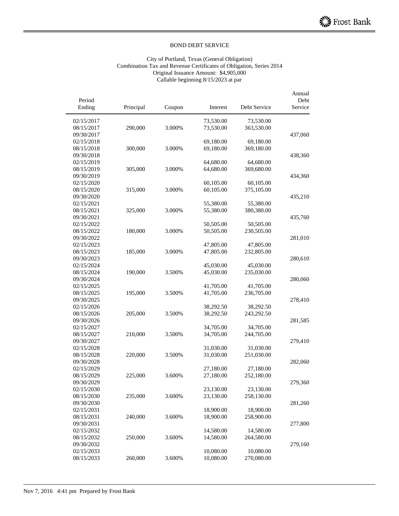#### City of Portland, Texas (General Obligation) Combination Tax and Revenue Certificates of Obligation, Series 2014 Original Issuance Amount: \$4,905,000 Callable beginning 8/15/2023 at par

|            |           |        |           |              | Annual  |
|------------|-----------|--------|-----------|--------------|---------|
| Period     |           |        |           |              | Debt    |
| Ending     | Principal | Coupon | Interest  | Debt Service | Service |
| 02/15/2017 |           |        | 73,530.00 | 73,530.00    |         |
| 08/15/2017 | 290,000   | 3.000% | 73,530.00 | 363,530.00   |         |
| 09/30/2017 |           |        |           |              | 437,060 |
| 02/15/2018 |           |        | 69,180.00 | 69,180.00    |         |
| 08/15/2018 | 300,000   | 3.000% | 69,180.00 | 369,180.00   |         |
| 09/30/2018 |           |        |           |              | 438,360 |
| 02/15/2019 |           |        | 64,680.00 | 64,680.00    |         |
| 08/15/2019 | 305,000   | 3.000% | 64,680.00 | 369,680.00   |         |
| 09/30/2019 |           |        |           |              | 434,360 |
| 02/15/2020 |           |        | 60,105.00 | 60,105.00    |         |
| 08/15/2020 | 315,000   | 3.000% | 60,105.00 | 375,105.00   |         |
| 09/30/2020 |           |        |           |              | 435,210 |
| 02/15/2021 |           |        | 55,380.00 | 55,380.00    |         |
| 08/15/2021 | 325,000   | 3.000% | 55,380.00 | 380,380.00   |         |
| 09/30/2021 |           |        |           |              | 435,760 |
| 02/15/2022 |           |        | 50,505.00 | 50,505.00    |         |
| 08/15/2022 | 180,000   | 3.000% | 50,505.00 | 230,505.00   |         |
| 09/30/2022 |           |        |           |              | 281,010 |
| 02/15/2023 |           |        | 47,805.00 | 47,805.00    |         |
| 08/15/2023 | 185,000   | 3.000% | 47,805.00 | 232,805.00   |         |
| 09/30/2023 |           |        |           |              | 280,610 |
| 02/15/2024 |           |        | 45,030.00 | 45,030.00    |         |
| 08/15/2024 | 190,000   | 3.500% | 45,030.00 | 235,030.00   |         |
| 09/30/2024 |           |        |           |              | 280,060 |
| 02/15/2025 |           |        | 41,705.00 | 41,705.00    |         |
| 08/15/2025 | 195,000   | 3.500% | 41,705.00 | 236,705.00   |         |
| 09/30/2025 |           |        |           |              | 278,410 |
| 02/15/2026 |           |        | 38,292.50 | 38,292.50    |         |
| 08/15/2026 | 205,000   | 3.500% | 38,292.50 | 243,292.50   |         |
| 09/30/2026 |           |        |           |              | 281,585 |
| 02/15/2027 |           |        | 34,705.00 | 34,705.00    |         |
| 08/15/2027 | 210,000   | 3.500% | 34,705.00 | 244,705.00   |         |
| 09/30/2027 |           |        |           |              | 279,410 |
| 02/15/2028 |           |        | 31,030.00 | 31,030.00    |         |
| 08/15/2028 | 220,000   | 3.500% | 31,030.00 | 251,030.00   |         |
| 09/30/2028 |           |        |           |              | 282,060 |
| 02/15/2029 |           |        | 27,180.00 | 27,180.00    |         |
| 08/15/2029 | 225,000   | 3.600% | 27,180.00 | 252,180.00   |         |
| 09/30/2029 |           |        |           |              | 279,360 |
| 02/15/2030 |           |        | 23,130.00 | 23,130.00    |         |
| 08/15/2030 | 235,000   | 3.600% | 23,130.00 | 258,130.00   |         |
| 09/30/2030 |           |        |           |              | 281,260 |
| 02/15/2031 |           |        | 18,900.00 | 18,900.00    |         |
| 08/15/2031 | 240,000   | 3.600% | 18,900.00 | 258,900.00   |         |
| 09/30/2031 |           |        |           |              | 277,800 |
| 02/15/2032 |           |        | 14,580.00 | 14,580.00    |         |
| 08/15/2032 | 250,000   | 3.600% | 14,580.00 | 264,580.00   |         |
| 09/30/2032 |           |        |           |              | 279,160 |
| 02/15/2033 |           |        | 10,080.00 | 10,080.00    |         |
| 08/15/2033 | 260,000   | 3.600% | 10,080.00 | 270,080.00   |         |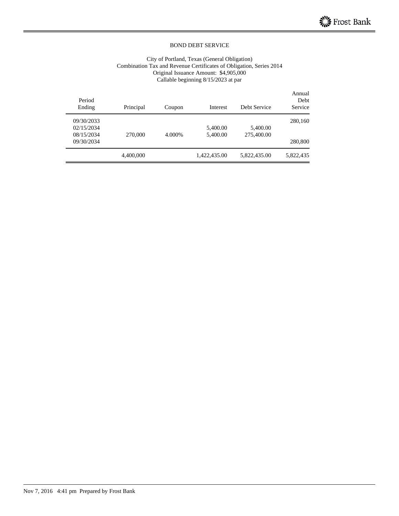#### City of Portland, Texas (General Obligation) Combination Tax and Revenue Certificates of Obligation, Series 2014 Original Issuance Amount: \$4,905,000 Callable beginning 8/15/2023 at par

| Period<br>Ending | Principal | Coupon | Interest     | Debt Service | Annual<br>Debt<br>Service |
|------------------|-----------|--------|--------------|--------------|---------------------------|
| 09/30/2033       |           |        |              |              | 280,160                   |
| 02/15/2034       |           |        | 5,400.00     | 5,400.00     |                           |
| 08/15/2034       | 270,000   | 4.000% | 5,400.00     | 275,400.00   |                           |
| 09/30/2034       |           |        |              |              | 280,800                   |
|                  | 4,400,000 |        | 1,422,435.00 | 5,822,435.00 | 5,822,435                 |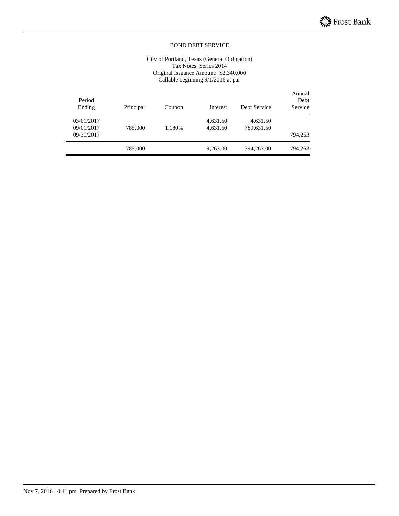#### City of Portland, Texas (General Obligation) Tax Notes, Series 2014 Original Issuance Amount: \$2,340,000 Callable beginning 9/1/2016 at par

| Annual<br>Debt<br>Service | Debt Service           | Interest             | Coupon | Principal | Period<br>Ending                       |
|---------------------------|------------------------|----------------------|--------|-----------|----------------------------------------|
| 794,263                   | 4,631.50<br>789,631.50 | 4,631.50<br>4,631.50 | 1.180% | 785,000   | 03/01/2017<br>09/01/2017<br>09/30/2017 |
| 794,263                   | 794,263.00             | 9,263.00             |        | 785,000   |                                        |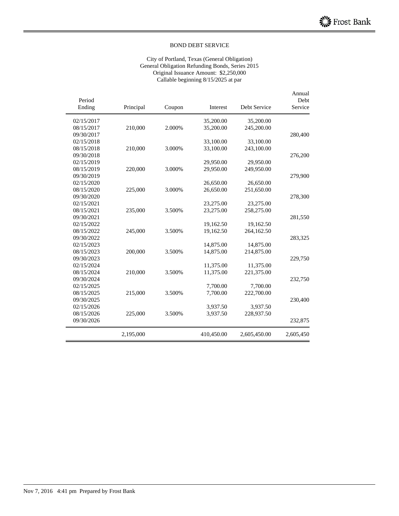#### City of Portland, Texas (General Obligation) General Obligation Refunding Bonds, Series 2015 Original Issuance Amount: \$2,250,000 Callable beginning 8/15/2025 at par

| Period     |           |        |            |              | Annual<br>Debt |
|------------|-----------|--------|------------|--------------|----------------|
| Ending     | Principal | Coupon | Interest   | Debt Service | Service        |
| 02/15/2017 |           |        | 35,200.00  | 35,200.00    |                |
| 08/15/2017 | 210,000   | 2.000% | 35,200.00  | 245,200.00   |                |
| 09/30/2017 |           |        |            |              | 280,400        |
| 02/15/2018 |           |        | 33,100.00  | 33,100.00    |                |
| 08/15/2018 | 210,000   | 3.000% | 33,100.00  | 243,100.00   |                |
| 09/30/2018 |           |        |            |              | 276,200        |
| 02/15/2019 |           |        | 29,950.00  | 29,950.00    |                |
| 08/15/2019 | 220,000   | 3.000% | 29,950.00  | 249,950.00   |                |
| 09/30/2019 |           |        |            |              | 279,900        |
| 02/15/2020 |           |        | 26,650.00  | 26,650.00    |                |
| 08/15/2020 | 225,000   | 3.000% | 26,650.00  | 251,650.00   |                |
| 09/30/2020 |           |        |            |              | 278,300        |
| 02/15/2021 |           |        | 23,275.00  | 23,275.00    |                |
| 08/15/2021 | 235,000   | 3.500% | 23,275.00  | 258,275.00   |                |
| 09/30/2021 |           |        |            |              | 281,550        |
| 02/15/2022 |           |        | 19,162.50  | 19,162.50    |                |
| 08/15/2022 | 245,000   | 3.500% | 19,162.50  | 264,162.50   |                |
| 09/30/2022 |           |        |            |              | 283,325        |
| 02/15/2023 |           |        | 14,875.00  | 14,875.00    |                |
| 08/15/2023 | 200,000   | 3.500% | 14,875.00  | 214,875.00   |                |
| 09/30/2023 |           |        |            |              | 229,750        |
| 02/15/2024 |           |        | 11,375.00  | 11,375.00    |                |
| 08/15/2024 | 210,000   | 3.500% | 11,375.00  | 221,375.00   |                |
| 09/30/2024 |           |        |            |              | 232,750        |
| 02/15/2025 |           |        | 7,700.00   | 7,700.00     |                |
| 08/15/2025 | 215,000   | 3.500% | 7,700.00   | 222,700.00   |                |
| 09/30/2025 |           |        |            |              | 230,400        |
| 02/15/2026 |           |        | 3,937.50   | 3,937.50     |                |
| 08/15/2026 | 225,000   | 3.500% | 3,937.50   | 228,937.50   |                |
| 09/30/2026 |           |        |            |              | 232,875        |
|            | 2,195,000 |        | 410,450.00 | 2,605,450.00 | 2,605,450      |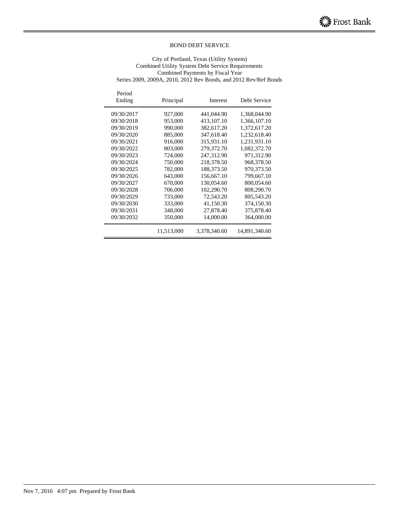City of Portland, Texas (Utility System) Combined Utility System Debt Service Requirements Combined Payments by Fiscal Year Series 2009, 2009A, 2010, 2012 Rev Bonds, and 2012 Rev/Ref Bonds

| Period<br>Ending | Principal  | Interest     | Debt Service  |
|------------------|------------|--------------|---------------|
| 09/30/2017       | 927,000    | 441,044.90   | 1,368,044.90  |
| 09/30/2018       | 953,000    | 413,107.10   | 1,366,107.10  |
| 09/30/2019       | 990,000    | 382,617.20   | 1,372,617.20  |
| 09/30/2020       | 885,000    | 347,618.40   | 1,232,618.40  |
| 09/30/2021       | 916,000    | 315,931.10   | 1,231,931.10  |
| 09/30/2022       | 803,000    | 279,372.70   | 1,082,372.70  |
| 09/30/2023       | 724,000    | 247.312.90   | 971,312.90    |
| 09/30/2024       | 750,000    | 218,378.50   | 968,378.50    |
| 09/30/2025       | 782,000    | 188,373.50   | 970,373.50    |
| 09/30/2026       | 643,000    | 156,667.10   | 799,667.10    |
| 09/30/2027       | 670,000    | 130,054.60   | 800,054.60    |
| 09/30/2028       | 706,000    | 102,290.70   | 808,290.70    |
| 09/30/2029       | 733,000    | 72,543.20    | 805,543.20    |
| 09/30/2030       | 333,000    | 41,150.30    | 374,150.30    |
| 09/30/2031       | 348,000    | 27,878.40    | 375,878.40    |
| 09/30/2032       | 350,000    | 14,000.00    | 364,000.00    |
|                  | 11,513,000 | 3,378,340.60 | 14,891,340.60 |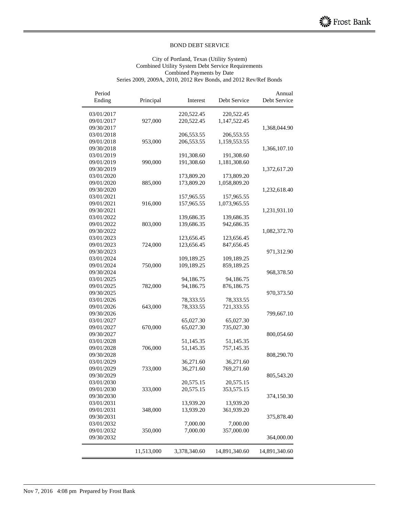#### City of Portland, Texas (Utility System) Combined Utility System Debt Service Requirements Combined Payments by Date Series 2009, 2009A, 2010, 2012 Rev Bonds, and 2012 Rev/Ref Bonds

| Period<br>Ending | Principal  | Interest     | Debt Service  | Annual<br>Debt Service |
|------------------|------------|--------------|---------------|------------------------|
| 03/01/2017       |            | 220,522.45   | 220,522.45    |                        |
| 09/01/2017       | 927,000    | 220,522.45   | 1,147,522.45  |                        |
| 09/30/2017       |            |              |               | 1,368,044.90           |
| 03/01/2018       |            | 206,553.55   | 206,553.55    |                        |
| 09/01/2018       | 953,000    | 206,553.55   | 1,159,553.55  |                        |
| 09/30/2018       |            |              |               | 1,366,107.10           |
| 03/01/2019       |            | 191,308.60   | 191,308.60    |                        |
| 09/01/2019       | 990,000    | 191,308.60   | 1,181,308.60  |                        |
| 09/30/2019       |            |              |               | 1,372,617.20           |
| 03/01/2020       |            | 173,809.20   | 173,809.20    |                        |
| 09/01/2020       | 885,000    | 173,809.20   | 1,058,809.20  |                        |
| 09/30/2020       |            |              |               | 1,232,618.40           |
| 03/01/2021       |            | 157,965.55   | 157,965.55    |                        |
| 09/01/2021       | 916,000    | 157,965.55   | 1,073,965.55  |                        |
| 09/30/2021       |            |              |               | 1,231,931.10           |
| 03/01/2022       |            | 139,686.35   | 139,686.35    |                        |
| 09/01/2022       | 803,000    | 139,686.35   | 942,686.35    |                        |
| 09/30/2022       |            |              |               | 1,082,372.70           |
| 03/01/2023       |            | 123,656.45   | 123,656.45    |                        |
| 09/01/2023       | 724,000    | 123,656.45   | 847,656.45    |                        |
| 09/30/2023       |            |              |               | 971,312.90             |
| 03/01/2024       |            | 109,189.25   | 109,189.25    |                        |
| 09/01/2024       | 750,000    | 109,189.25   | 859,189.25    |                        |
| 09/30/2024       |            |              |               | 968,378.50             |
| 03/01/2025       |            | 94,186.75    | 94,186.75     |                        |
| 09/01/2025       | 782,000    | 94,186.75    | 876,186.75    |                        |
| 09/30/2025       |            |              |               | 970,373.50             |
| 03/01/2026       |            | 78,333.55    | 78,333.55     |                        |
| 09/01/2026       | 643,000    | 78,333.55    | 721,333.55    |                        |
| 09/30/2026       |            |              |               | 799,667.10             |
| 03/01/2027       |            | 65,027.30    | 65,027.30     |                        |
| 09/01/2027       | 670,000    | 65,027.30    | 735,027.30    |                        |
| 09/30/2027       |            |              |               | 800,054.60             |
| 03/01/2028       |            | 51,145.35    | 51,145.35     |                        |
| 09/01/2028       | 706,000    | 51,145.35    | 757,145.35    |                        |
| 09/30/2028       |            |              |               | 808,290.70             |
| 03/01/2029       |            | 36,271.60    | 36,271.60     |                        |
| 09/01/2029       | 733,000    | 36,271.60    | 769,271.60    |                        |
| 09/30/2029       |            |              |               | 805,543.20             |
| 03/01/2030       |            | 20,575.15    | 20,575.15     |                        |
| 09/01/2030       | 333,000    | 20,575.15    | 353,575.15    |                        |
| 09/30/2030       |            |              |               | 374,150.30             |
| 03/01/2031       |            | 13,939.20    | 13,939.20     |                        |
| 09/01/2031       | 348,000    | 13,939.20    | 361,939.20    |                        |
| 09/30/2031       |            |              |               | 375,878.40             |
| 03/01/2032       |            | 7,000.00     | 7,000.00      |                        |
| 09/01/2032       | 350,000    | 7,000.00     | 357,000.00    |                        |
| 09/30/2032       |            |              |               | 364,000.00             |
|                  |            |              |               |                        |
|                  | 11,513,000 | 3,378,340.60 | 14,891,340.60 | 14,891,340.60          |
|                  |            |              |               |                        |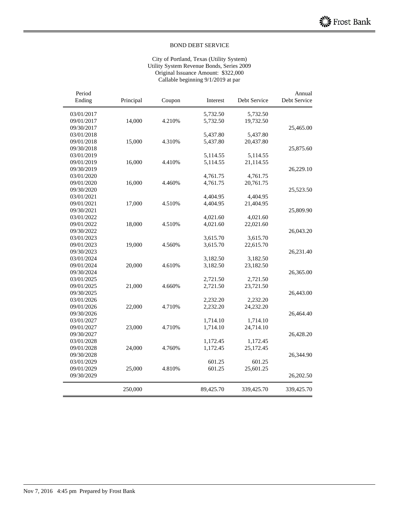#### City of Portland, Texas (Utility System) Utility System Revenue Bonds, Series 2009 Original Issuance Amount: \$322,000 Callable beginning 9/1/2019 at par

| Period     |           |        |           |              | Annual       |
|------------|-----------|--------|-----------|--------------|--------------|
| Ending     | Principal | Coupon | Interest  | Debt Service | Debt Service |
| 03/01/2017 |           |        | 5,732.50  | 5,732.50     |              |
| 09/01/2017 | 14,000    | 4.210% | 5,732.50  | 19,732.50    |              |
| 09/30/2017 |           |        |           |              | 25,465.00    |
| 03/01/2018 |           |        | 5,437.80  | 5,437.80     |              |
| 09/01/2018 | 15,000    | 4.310% | 5,437.80  | 20,437.80    |              |
| 09/30/2018 |           |        |           |              | 25,875.60    |
| 03/01/2019 |           |        | 5,114.55  | 5,114.55     |              |
| 09/01/2019 | 16,000    | 4.410% | 5,114.55  | 21,114.55    |              |
| 09/30/2019 |           |        |           |              | 26,229.10    |
| 03/01/2020 |           |        | 4,761.75  | 4,761.75     |              |
| 09/01/2020 | 16,000    | 4.460% | 4,761.75  | 20,761.75    |              |
| 09/30/2020 |           |        |           |              | 25,523.50    |
| 03/01/2021 |           |        | 4,404.95  | 4,404.95     |              |
| 09/01/2021 | 17,000    | 4.510% | 4,404.95  | 21,404.95    |              |
| 09/30/2021 |           |        |           |              | 25,809.90    |
| 03/01/2022 |           |        | 4,021.60  | 4,021.60     |              |
| 09/01/2022 | 18,000    | 4.510% | 4,021.60  | 22,021.60    |              |
| 09/30/2022 |           |        |           |              | 26,043.20    |
| 03/01/2023 |           |        | 3,615.70  | 3,615.70     |              |
| 09/01/2023 | 19,000    | 4.560% | 3,615.70  | 22,615.70    |              |
| 09/30/2023 |           |        |           |              | 26,231.40    |
| 03/01/2024 |           |        | 3,182.50  | 3,182.50     |              |
| 09/01/2024 | 20,000    | 4.610% | 3,182.50  | 23,182.50    |              |
| 09/30/2024 |           |        |           |              | 26,365.00    |
| 03/01/2025 |           |        | 2,721.50  | 2,721.50     |              |
| 09/01/2025 | 21,000    | 4.660% | 2,721.50  | 23,721.50    |              |
| 09/30/2025 |           |        |           |              | 26,443.00    |
| 03/01/2026 |           |        | 2,232.20  | 2,232.20     |              |
| 09/01/2026 | 22,000    | 4.710% | 2,232.20  | 24,232.20    |              |
| 09/30/2026 |           |        |           |              | 26,464.40    |
| 03/01/2027 |           |        | 1,714.10  | 1,714.10     |              |
| 09/01/2027 | 23,000    | 4.710% | 1,714.10  | 24,714.10    |              |
| 09/30/2027 |           |        |           |              | 26,428.20    |
| 03/01/2028 |           |        | 1,172.45  | 1,172.45     |              |
| 09/01/2028 | 24,000    | 4.760% | 1,172.45  | 25,172.45    |              |
| 09/30/2028 |           |        |           |              | 26,344.90    |
| 03/01/2029 |           |        | 601.25    | 601.25       |              |
| 09/01/2029 | 25,000    | 4.810% | 601.25    | 25,601.25    |              |
| 09/30/2029 |           |        |           |              | 26,202.50    |
|            | 250,000   |        | 89,425.70 | 339,425.70   | 339,425.70   |
|            |           |        |           |              |              |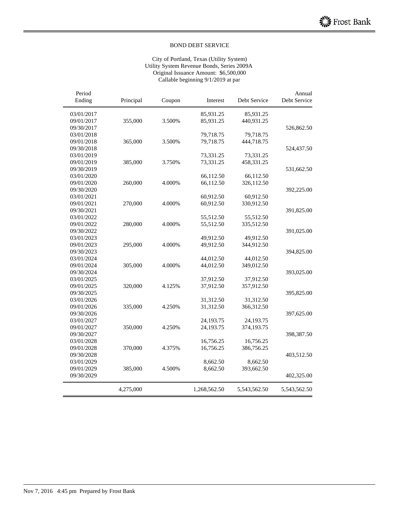#### City of Portland, Texas (Utility System) Utility System Revenue Bonds, Series 2009A Original Issuance Amount: \$6,500,000 Callable beginning 9/1/2019 at par

| Period<br>Ending | Principal | Coupon | Interest     | Debt Service | Annual<br>Debt Service |
|------------------|-----------|--------|--------------|--------------|------------------------|
|                  |           |        |              |              |                        |
| 03/01/2017       |           |        | 85,931.25    | 85,931.25    |                        |
| 09/01/2017       | 355,000   | 3.500% | 85,931.25    | 440,931.25   |                        |
| 09/30/2017       |           |        |              |              | 526,862.50             |
| 03/01/2018       |           |        | 79,718.75    | 79,718.75    |                        |
| 09/01/2018       | 365,000   | 3.500% | 79,718.75    | 444,718.75   |                        |
| 09/30/2018       |           |        |              |              | 524,437.50             |
| 03/01/2019       |           |        | 73,331.25    | 73,331.25    |                        |
| 09/01/2019       | 385,000   | 3.750% | 73,331.25    | 458,331.25   |                        |
| 09/30/2019       |           |        |              |              | 531,662.50             |
| 03/01/2020       |           |        | 66,112.50    | 66,112.50    |                        |
| 09/01/2020       | 260,000   | 4.000% | 66,112.50    | 326,112.50   |                        |
| 09/30/2020       |           |        |              |              | 392,225.00             |
| 03/01/2021       |           |        | 60,912.50    | 60,912.50    |                        |
| 09/01/2021       | 270,000   | 4.000% | 60,912.50    | 330,912.50   |                        |
| 09/30/2021       |           |        |              |              | 391,825.00             |
| 03/01/2022       |           |        | 55,512.50    | 55,512.50    |                        |
| 09/01/2022       | 280,000   | 4.000% | 55,512.50    | 335,512.50   |                        |
| 09/30/2022       |           |        |              |              | 391,025.00             |
| 03/01/2023       |           |        | 49,912.50    | 49,912.50    |                        |
| 09/01/2023       | 295,000   | 4.000% | 49,912.50    | 344,912.50   |                        |
| 09/30/2023       |           |        |              |              | 394,825.00             |
| 03/01/2024       |           |        | 44,012.50    | 44,012.50    |                        |
| 09/01/2024       | 305,000   | 4.000% | 44,012.50    | 349,012.50   |                        |
| 09/30/2024       |           |        |              |              | 393,025.00             |
| 03/01/2025       |           |        | 37,912.50    | 37,912.50    |                        |
| 09/01/2025       | 320,000   | 4.125% | 37,912.50    | 357,912.50   |                        |
| 09/30/2025       |           |        |              |              | 395,825.00             |
| 03/01/2026       |           |        | 31,312.50    | 31,312.50    |                        |
| 09/01/2026       | 335,000   | 4.250% | 31,312.50    | 366,312.50   |                        |
| 09/30/2026       |           |        |              |              | 397,625.00             |
| 03/01/2027       |           |        | 24,193.75    | 24,193.75    |                        |
| 09/01/2027       | 350,000   | 4.250% | 24,193.75    | 374,193.75   |                        |
| 09/30/2027       |           |        |              |              | 398,387.50             |
| 03/01/2028       |           |        | 16,756.25    | 16,756.25    |                        |
| 09/01/2028       | 370,000   | 4.375% | 16,756.25    | 386,756.25   |                        |
| 09/30/2028       |           |        |              |              | 403,512.50             |
| 03/01/2029       |           |        | 8,662.50     | 8,662.50     |                        |
| 09/01/2029       | 385,000   | 4.500% | 8,662.50     | 393,662.50   |                        |
| 09/30/2029       |           |        |              |              | 402,325.00             |
|                  | 4,275,000 |        | 1,268,562.50 | 5,543,562.50 | 5,543,562.50           |
|                  |           |        |              |              |                        |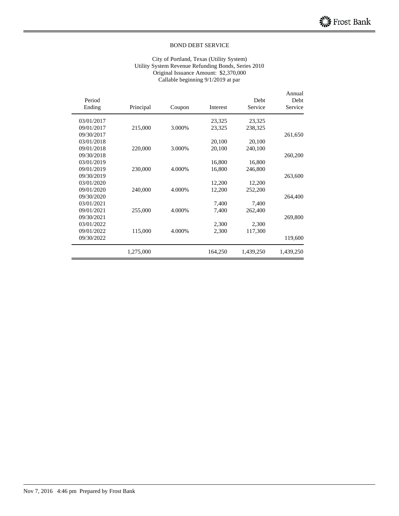#### City of Portland, Texas (Utility System) Utility System Revenue Refunding Bonds, Series 2010 Original Issuance Amount: \$2,370,000 Callable beginning 9/1/2019 at par

| Period<br>Ending | Principal | Coupon | Interest | Debt<br>Service | Annual<br>Debt<br>Service |
|------------------|-----------|--------|----------|-----------------|---------------------------|
|                  |           |        |          |                 |                           |
| 03/01/2017       |           |        | 23,325   | 23,325          |                           |
| 09/01/2017       | 215,000   | 3.000% | 23,325   | 238,325         |                           |
| 09/30/2017       |           |        |          |                 | 261,650                   |
| 03/01/2018       |           |        | 20,100   | 20,100          |                           |
| 09/01/2018       | 220,000   | 3.000% | 20,100   | 240,100         |                           |
| 09/30/2018       |           |        |          |                 | 260,200                   |
| 03/01/2019       |           |        | 16,800   | 16,800          |                           |
| 09/01/2019       | 230,000   | 4.000% | 16,800   | 246,800         |                           |
| 09/30/2019       |           |        |          |                 | 263,600                   |
| 03/01/2020       |           |        | 12,200   | 12,200          |                           |
| 09/01/2020       | 240,000   | 4.000% | 12,200   | 252,200         |                           |
| 09/30/2020       |           |        |          |                 | 264,400                   |
| 03/01/2021       |           |        | 7,400    | 7,400           |                           |
| 09/01/2021       | 255,000   | 4.000% | 7,400    | 262,400         |                           |
| 09/30/2021       |           |        |          |                 | 269,800                   |
| 03/01/2022       |           |        | 2,300    | 2,300           |                           |
| 09/01/2022       | 115,000   | 4.000% | 2,300    | 117,300         |                           |
| 09/30/2022       |           |        |          |                 | 119,600                   |
|                  | 1,275,000 |        | 164,250  | 1,439,250       | 1,439,250                 |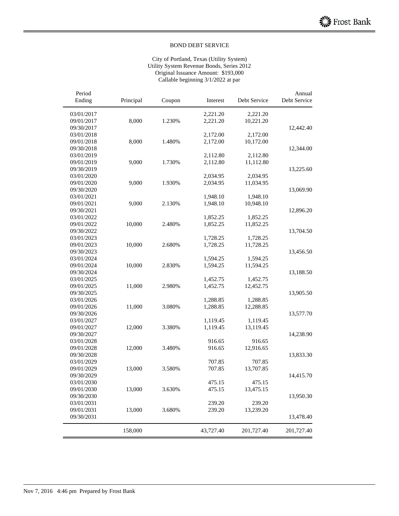#### City of Portland, Texas (Utility System) Utility System Revenue Bonds, Series 2012 Original Issuance Amount: \$193,000 Callable beginning 3/1/2022 at par

| 03/01/2017<br>2,221.20<br>2,221.20<br>8,000<br>09/01/2017<br>1.230%<br>2,221.20<br>10,221.20<br>09/30/2017<br>12,442.40<br>03/01/2018<br>2,172.00<br>2,172.00<br>09/01/2018<br>8,000<br>1.480%<br>2,172.00<br>10,172.00<br>09/30/2018<br>12,344.00<br>03/01/2019<br>2,112.80<br>2,112.80<br>09/01/2019<br>9,000<br>1.730%<br>2,112.80<br>11,112.80<br>09/30/2019<br>13,225.60<br>03/01/2020<br>2,034.95<br>2,034.95<br>09/01/2020<br>9,000<br>1.930%<br>2,034.95<br>11,034.95<br>09/30/2020<br>13,069.90<br>03/01/2021<br>1,948.10<br>1,948.10<br>09/01/2021<br>9,000<br>2.130%<br>1,948.10<br>10,948.10<br>09/30/2021<br>12,896.20<br>03/01/2022<br>1,852.25<br>1,852.25<br>09/01/2022<br>10,000<br>2.480%<br>11,852.25<br>1,852.25<br>09/30/2022<br>13,704.50<br>03/01/2023<br>1,728.25<br>1,728.25<br>09/01/2023<br>10,000<br>2.680%<br>1,728.25<br>11,728.25<br>09/30/2023<br>13,456.50<br>03/01/2024<br>1,594.25<br>1,594.25<br>10,000<br>09/01/2024<br>2.830%<br>1,594.25<br>11,594.25<br>09/30/2024<br>13,188.50<br>03/01/2025<br>1,452.75<br>1,452.75<br>09/01/2025<br>11,000<br>2.980%<br>1,452.75<br>12,452.75<br>09/30/2025<br>13,905.50<br>03/01/2026<br>1,288.85<br>1,288.85<br>09/01/2026<br>11,000<br>3.080%<br>1,288.85<br>12,288.85<br>09/30/2026<br>13,577.70<br>03/01/2027<br>1,119.45<br>1,119.45<br>09/01/2027<br>12,000<br>3.380%<br>1,119.45<br>13,119.45<br>09/30/2027<br>14,238.90<br>03/01/2028<br>916.65<br>916.65<br>09/01/2028<br>12,000<br>3.480%<br>916.65<br>12,916.65<br>09/30/2028<br>13,833.30<br>03/01/2029<br>707.85<br>707.85<br>09/01/2029<br>13,000<br>3.580%<br>707.85<br>13,707.85<br>09/30/2029<br>14,415.70<br>03/01/2030<br>475.15<br>475.15<br>3.630%<br>09/01/2030<br>13,000<br>475.15<br>13,475.15<br>09/30/2030<br>13,950.30<br>239.20<br>239.20<br>03/01/2031<br>09/01/2031<br>3.680%<br>239.20<br>13,239.20<br>13,000<br>09/30/2031<br>13,478.40<br>158,000<br>43,727.40<br>201,727.40<br>201,727.40 | Period<br>Ending | Principal | Coupon | Interest | Debt Service | Annual<br>Debt Service |
|---------------------------------------------------------------------------------------------------------------------------------------------------------------------------------------------------------------------------------------------------------------------------------------------------------------------------------------------------------------------------------------------------------------------------------------------------------------------------------------------------------------------------------------------------------------------------------------------------------------------------------------------------------------------------------------------------------------------------------------------------------------------------------------------------------------------------------------------------------------------------------------------------------------------------------------------------------------------------------------------------------------------------------------------------------------------------------------------------------------------------------------------------------------------------------------------------------------------------------------------------------------------------------------------------------------------------------------------------------------------------------------------------------------------------------------------------------------------------------------------------------------------------------------------------------------------------------------------------------------------------------------------------------------------------------------------------------------------------------------------------------------------------------------------------------------------------------------------------------------------------------------------------------------------------------------------------------|------------------|-----------|--------|----------|--------------|------------------------|
|                                                                                                                                                                                                                                                                                                                                                                                                                                                                                                                                                                                                                                                                                                                                                                                                                                                                                                                                                                                                                                                                                                                                                                                                                                                                                                                                                                                                                                                                                                                                                                                                                                                                                                                                                                                                                                                                                                                                                         |                  |           |        |          |              |                        |
|                                                                                                                                                                                                                                                                                                                                                                                                                                                                                                                                                                                                                                                                                                                                                                                                                                                                                                                                                                                                                                                                                                                                                                                                                                                                                                                                                                                                                                                                                                                                                                                                                                                                                                                                                                                                                                                                                                                                                         |                  |           |        |          |              |                        |
|                                                                                                                                                                                                                                                                                                                                                                                                                                                                                                                                                                                                                                                                                                                                                                                                                                                                                                                                                                                                                                                                                                                                                                                                                                                                                                                                                                                                                                                                                                                                                                                                                                                                                                                                                                                                                                                                                                                                                         |                  |           |        |          |              |                        |
|                                                                                                                                                                                                                                                                                                                                                                                                                                                                                                                                                                                                                                                                                                                                                                                                                                                                                                                                                                                                                                                                                                                                                                                                                                                                                                                                                                                                                                                                                                                                                                                                                                                                                                                                                                                                                                                                                                                                                         |                  |           |        |          |              |                        |
|                                                                                                                                                                                                                                                                                                                                                                                                                                                                                                                                                                                                                                                                                                                                                                                                                                                                                                                                                                                                                                                                                                                                                                                                                                                                                                                                                                                                                                                                                                                                                                                                                                                                                                                                                                                                                                                                                                                                                         |                  |           |        |          |              |                        |
|                                                                                                                                                                                                                                                                                                                                                                                                                                                                                                                                                                                                                                                                                                                                                                                                                                                                                                                                                                                                                                                                                                                                                                                                                                                                                                                                                                                                                                                                                                                                                                                                                                                                                                                                                                                                                                                                                                                                                         |                  |           |        |          |              |                        |
|                                                                                                                                                                                                                                                                                                                                                                                                                                                                                                                                                                                                                                                                                                                                                                                                                                                                                                                                                                                                                                                                                                                                                                                                                                                                                                                                                                                                                                                                                                                                                                                                                                                                                                                                                                                                                                                                                                                                                         |                  |           |        |          |              |                        |
|                                                                                                                                                                                                                                                                                                                                                                                                                                                                                                                                                                                                                                                                                                                                                                                                                                                                                                                                                                                                                                                                                                                                                                                                                                                                                                                                                                                                                                                                                                                                                                                                                                                                                                                                                                                                                                                                                                                                                         |                  |           |        |          |              |                        |
|                                                                                                                                                                                                                                                                                                                                                                                                                                                                                                                                                                                                                                                                                                                                                                                                                                                                                                                                                                                                                                                                                                                                                                                                                                                                                                                                                                                                                                                                                                                                                                                                                                                                                                                                                                                                                                                                                                                                                         |                  |           |        |          |              |                        |
|                                                                                                                                                                                                                                                                                                                                                                                                                                                                                                                                                                                                                                                                                                                                                                                                                                                                                                                                                                                                                                                                                                                                                                                                                                                                                                                                                                                                                                                                                                                                                                                                                                                                                                                                                                                                                                                                                                                                                         |                  |           |        |          |              |                        |
|                                                                                                                                                                                                                                                                                                                                                                                                                                                                                                                                                                                                                                                                                                                                                                                                                                                                                                                                                                                                                                                                                                                                                                                                                                                                                                                                                                                                                                                                                                                                                                                                                                                                                                                                                                                                                                                                                                                                                         |                  |           |        |          |              |                        |
|                                                                                                                                                                                                                                                                                                                                                                                                                                                                                                                                                                                                                                                                                                                                                                                                                                                                                                                                                                                                                                                                                                                                                                                                                                                                                                                                                                                                                                                                                                                                                                                                                                                                                                                                                                                                                                                                                                                                                         |                  |           |        |          |              |                        |
|                                                                                                                                                                                                                                                                                                                                                                                                                                                                                                                                                                                                                                                                                                                                                                                                                                                                                                                                                                                                                                                                                                                                                                                                                                                                                                                                                                                                                                                                                                                                                                                                                                                                                                                                                                                                                                                                                                                                                         |                  |           |        |          |              |                        |
|                                                                                                                                                                                                                                                                                                                                                                                                                                                                                                                                                                                                                                                                                                                                                                                                                                                                                                                                                                                                                                                                                                                                                                                                                                                                                                                                                                                                                                                                                                                                                                                                                                                                                                                                                                                                                                                                                                                                                         |                  |           |        |          |              |                        |
|                                                                                                                                                                                                                                                                                                                                                                                                                                                                                                                                                                                                                                                                                                                                                                                                                                                                                                                                                                                                                                                                                                                                                                                                                                                                                                                                                                                                                                                                                                                                                                                                                                                                                                                                                                                                                                                                                                                                                         |                  |           |        |          |              |                        |
|                                                                                                                                                                                                                                                                                                                                                                                                                                                                                                                                                                                                                                                                                                                                                                                                                                                                                                                                                                                                                                                                                                                                                                                                                                                                                                                                                                                                                                                                                                                                                                                                                                                                                                                                                                                                                                                                                                                                                         |                  |           |        |          |              |                        |
|                                                                                                                                                                                                                                                                                                                                                                                                                                                                                                                                                                                                                                                                                                                                                                                                                                                                                                                                                                                                                                                                                                                                                                                                                                                                                                                                                                                                                                                                                                                                                                                                                                                                                                                                                                                                                                                                                                                                                         |                  |           |        |          |              |                        |
|                                                                                                                                                                                                                                                                                                                                                                                                                                                                                                                                                                                                                                                                                                                                                                                                                                                                                                                                                                                                                                                                                                                                                                                                                                                                                                                                                                                                                                                                                                                                                                                                                                                                                                                                                                                                                                                                                                                                                         |                  |           |        |          |              |                        |
|                                                                                                                                                                                                                                                                                                                                                                                                                                                                                                                                                                                                                                                                                                                                                                                                                                                                                                                                                                                                                                                                                                                                                                                                                                                                                                                                                                                                                                                                                                                                                                                                                                                                                                                                                                                                                                                                                                                                                         |                  |           |        |          |              |                        |
|                                                                                                                                                                                                                                                                                                                                                                                                                                                                                                                                                                                                                                                                                                                                                                                                                                                                                                                                                                                                                                                                                                                                                                                                                                                                                                                                                                                                                                                                                                                                                                                                                                                                                                                                                                                                                                                                                                                                                         |                  |           |        |          |              |                        |
|                                                                                                                                                                                                                                                                                                                                                                                                                                                                                                                                                                                                                                                                                                                                                                                                                                                                                                                                                                                                                                                                                                                                                                                                                                                                                                                                                                                                                                                                                                                                                                                                                                                                                                                                                                                                                                                                                                                                                         |                  |           |        |          |              |                        |
|                                                                                                                                                                                                                                                                                                                                                                                                                                                                                                                                                                                                                                                                                                                                                                                                                                                                                                                                                                                                                                                                                                                                                                                                                                                                                                                                                                                                                                                                                                                                                                                                                                                                                                                                                                                                                                                                                                                                                         |                  |           |        |          |              |                        |
|                                                                                                                                                                                                                                                                                                                                                                                                                                                                                                                                                                                                                                                                                                                                                                                                                                                                                                                                                                                                                                                                                                                                                                                                                                                                                                                                                                                                                                                                                                                                                                                                                                                                                                                                                                                                                                                                                                                                                         |                  |           |        |          |              |                        |
|                                                                                                                                                                                                                                                                                                                                                                                                                                                                                                                                                                                                                                                                                                                                                                                                                                                                                                                                                                                                                                                                                                                                                                                                                                                                                                                                                                                                                                                                                                                                                                                                                                                                                                                                                                                                                                                                                                                                                         |                  |           |        |          |              |                        |
|                                                                                                                                                                                                                                                                                                                                                                                                                                                                                                                                                                                                                                                                                                                                                                                                                                                                                                                                                                                                                                                                                                                                                                                                                                                                                                                                                                                                                                                                                                                                                                                                                                                                                                                                                                                                                                                                                                                                                         |                  |           |        |          |              |                        |
|                                                                                                                                                                                                                                                                                                                                                                                                                                                                                                                                                                                                                                                                                                                                                                                                                                                                                                                                                                                                                                                                                                                                                                                                                                                                                                                                                                                                                                                                                                                                                                                                                                                                                                                                                                                                                                                                                                                                                         |                  |           |        |          |              |                        |
|                                                                                                                                                                                                                                                                                                                                                                                                                                                                                                                                                                                                                                                                                                                                                                                                                                                                                                                                                                                                                                                                                                                                                                                                                                                                                                                                                                                                                                                                                                                                                                                                                                                                                                                                                                                                                                                                                                                                                         |                  |           |        |          |              |                        |
|                                                                                                                                                                                                                                                                                                                                                                                                                                                                                                                                                                                                                                                                                                                                                                                                                                                                                                                                                                                                                                                                                                                                                                                                                                                                                                                                                                                                                                                                                                                                                                                                                                                                                                                                                                                                                                                                                                                                                         |                  |           |        |          |              |                        |
|                                                                                                                                                                                                                                                                                                                                                                                                                                                                                                                                                                                                                                                                                                                                                                                                                                                                                                                                                                                                                                                                                                                                                                                                                                                                                                                                                                                                                                                                                                                                                                                                                                                                                                                                                                                                                                                                                                                                                         |                  |           |        |          |              |                        |
|                                                                                                                                                                                                                                                                                                                                                                                                                                                                                                                                                                                                                                                                                                                                                                                                                                                                                                                                                                                                                                                                                                                                                                                                                                                                                                                                                                                                                                                                                                                                                                                                                                                                                                                                                                                                                                                                                                                                                         |                  |           |        |          |              |                        |
|                                                                                                                                                                                                                                                                                                                                                                                                                                                                                                                                                                                                                                                                                                                                                                                                                                                                                                                                                                                                                                                                                                                                                                                                                                                                                                                                                                                                                                                                                                                                                                                                                                                                                                                                                                                                                                                                                                                                                         |                  |           |        |          |              |                        |
|                                                                                                                                                                                                                                                                                                                                                                                                                                                                                                                                                                                                                                                                                                                                                                                                                                                                                                                                                                                                                                                                                                                                                                                                                                                                                                                                                                                                                                                                                                                                                                                                                                                                                                                                                                                                                                                                                                                                                         |                  |           |        |          |              |                        |
|                                                                                                                                                                                                                                                                                                                                                                                                                                                                                                                                                                                                                                                                                                                                                                                                                                                                                                                                                                                                                                                                                                                                                                                                                                                                                                                                                                                                                                                                                                                                                                                                                                                                                                                                                                                                                                                                                                                                                         |                  |           |        |          |              |                        |
|                                                                                                                                                                                                                                                                                                                                                                                                                                                                                                                                                                                                                                                                                                                                                                                                                                                                                                                                                                                                                                                                                                                                                                                                                                                                                                                                                                                                                                                                                                                                                                                                                                                                                                                                                                                                                                                                                                                                                         |                  |           |        |          |              |                        |
|                                                                                                                                                                                                                                                                                                                                                                                                                                                                                                                                                                                                                                                                                                                                                                                                                                                                                                                                                                                                                                                                                                                                                                                                                                                                                                                                                                                                                                                                                                                                                                                                                                                                                                                                                                                                                                                                                                                                                         |                  |           |        |          |              |                        |
|                                                                                                                                                                                                                                                                                                                                                                                                                                                                                                                                                                                                                                                                                                                                                                                                                                                                                                                                                                                                                                                                                                                                                                                                                                                                                                                                                                                                                                                                                                                                                                                                                                                                                                                                                                                                                                                                                                                                                         |                  |           |        |          |              |                        |
|                                                                                                                                                                                                                                                                                                                                                                                                                                                                                                                                                                                                                                                                                                                                                                                                                                                                                                                                                                                                                                                                                                                                                                                                                                                                                                                                                                                                                                                                                                                                                                                                                                                                                                                                                                                                                                                                                                                                                         |                  |           |        |          |              |                        |
|                                                                                                                                                                                                                                                                                                                                                                                                                                                                                                                                                                                                                                                                                                                                                                                                                                                                                                                                                                                                                                                                                                                                                                                                                                                                                                                                                                                                                                                                                                                                                                                                                                                                                                                                                                                                                                                                                                                                                         |                  |           |        |          |              |                        |
|                                                                                                                                                                                                                                                                                                                                                                                                                                                                                                                                                                                                                                                                                                                                                                                                                                                                                                                                                                                                                                                                                                                                                                                                                                                                                                                                                                                                                                                                                                                                                                                                                                                                                                                                                                                                                                                                                                                                                         |                  |           |        |          |              |                        |
|                                                                                                                                                                                                                                                                                                                                                                                                                                                                                                                                                                                                                                                                                                                                                                                                                                                                                                                                                                                                                                                                                                                                                                                                                                                                                                                                                                                                                                                                                                                                                                                                                                                                                                                                                                                                                                                                                                                                                         |                  |           |        |          |              |                        |
|                                                                                                                                                                                                                                                                                                                                                                                                                                                                                                                                                                                                                                                                                                                                                                                                                                                                                                                                                                                                                                                                                                                                                                                                                                                                                                                                                                                                                                                                                                                                                                                                                                                                                                                                                                                                                                                                                                                                                         |                  |           |        |          |              |                        |
|                                                                                                                                                                                                                                                                                                                                                                                                                                                                                                                                                                                                                                                                                                                                                                                                                                                                                                                                                                                                                                                                                                                                                                                                                                                                                                                                                                                                                                                                                                                                                                                                                                                                                                                                                                                                                                                                                                                                                         |                  |           |        |          |              |                        |
|                                                                                                                                                                                                                                                                                                                                                                                                                                                                                                                                                                                                                                                                                                                                                                                                                                                                                                                                                                                                                                                                                                                                                                                                                                                                                                                                                                                                                                                                                                                                                                                                                                                                                                                                                                                                                                                                                                                                                         |                  |           |        |          |              |                        |
|                                                                                                                                                                                                                                                                                                                                                                                                                                                                                                                                                                                                                                                                                                                                                                                                                                                                                                                                                                                                                                                                                                                                                                                                                                                                                                                                                                                                                                                                                                                                                                                                                                                                                                                                                                                                                                                                                                                                                         |                  |           |        |          |              |                        |
|                                                                                                                                                                                                                                                                                                                                                                                                                                                                                                                                                                                                                                                                                                                                                                                                                                                                                                                                                                                                                                                                                                                                                                                                                                                                                                                                                                                                                                                                                                                                                                                                                                                                                                                                                                                                                                                                                                                                                         |                  |           |        |          |              |                        |
|                                                                                                                                                                                                                                                                                                                                                                                                                                                                                                                                                                                                                                                                                                                                                                                                                                                                                                                                                                                                                                                                                                                                                                                                                                                                                                                                                                                                                                                                                                                                                                                                                                                                                                                                                                                                                                                                                                                                                         |                  |           |        |          |              |                        |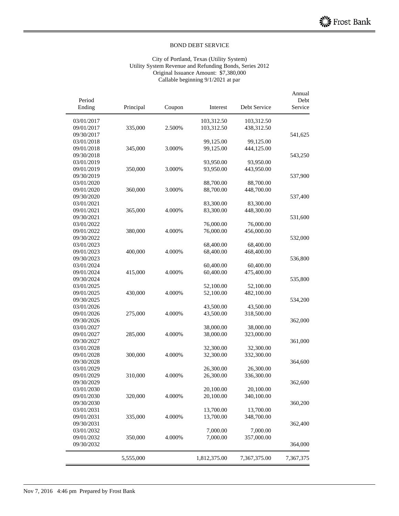#### City of Portland, Texas (Utility System) Utility System Revenue and Refunding Bonds, Series 2012 Original Issuance Amount: \$7,380,000 Callable beginning 9/1/2021 at par

| Period                   |           |        |              |              | Annual<br>Debt |
|--------------------------|-----------|--------|--------------|--------------|----------------|
| Ending                   | Principal | Coupon | Interest     | Debt Service | Service        |
| 03/01/2017               |           |        | 103,312.50   | 103,312.50   |                |
| 09/01/2017               | 335,000   | 2.500% | 103,312.50   | 438,312.50   |                |
| 09/30/2017               |           |        |              |              | 541,625        |
| 03/01/2018               |           |        | 99,125.00    | 99,125.00    |                |
| 09/01/2018               | 345,000   | 3.000% | 99,125.00    | 444,125.00   |                |
| 09/30/2018               |           |        |              |              | 543,250        |
| 03/01/2019               |           |        | 93,950.00    | 93,950.00    |                |
| 09/01/2019               | 350,000   | 3.000% | 93,950.00    | 443,950.00   |                |
| 09/30/2019               |           |        |              |              | 537,900        |
| 03/01/2020               |           |        | 88,700.00    | 88,700.00    |                |
| 09/01/2020               | 360,000   | 3.000% | 88,700.00    | 448,700.00   |                |
| 09/30/2020               |           |        |              |              | 537,400        |
| 03/01/2021               |           |        | 83,300.00    | 83,300.00    |                |
| 09/01/2021               | 365,000   | 4.000% | 83,300.00    | 448,300.00   |                |
| 09/30/2021               |           |        |              |              | 531,600        |
| 03/01/2022               |           |        | 76,000.00    | 76,000.00    |                |
| 09/01/2022               | 380,000   | 4.000% | 76,000.00    | 456,000.00   |                |
| 09/30/2022               |           |        |              |              | 532,000        |
| 03/01/2023               |           |        | 68,400.00    | 68,400.00    |                |
| 09/01/2023               | 400,000   | 4.000% | 68,400.00    | 468,400.00   |                |
| 09/30/2023               |           |        |              |              | 536,800        |
| 03/01/2024               |           |        | 60,400.00    | 60,400.00    |                |
| 09/01/2024               | 415,000   | 4.000% | 60,400.00    | 475,400.00   |                |
| 09/30/2024               |           |        |              |              | 535,800        |
| 03/01/2025               |           |        | 52,100.00    | 52,100.00    |                |
| 09/01/2025               | 430,000   | 4.000% | 52,100.00    | 482,100.00   |                |
| 09/30/2025               |           |        |              |              | 534,200        |
| 03/01/2026               |           |        | 43,500.00    | 43,500.00    |                |
| 09/01/2026               | 275,000   | 4.000% | 43,500.00    | 318,500.00   |                |
|                          |           |        |              |              |                |
| 09/30/2026<br>03/01/2027 |           |        |              |              | 362,000        |
|                          |           |        | 38,000.00    | 38,000.00    |                |
| 09/01/2027               | 285,000   | 4.000% | 38,000.00    | 323,000.00   |                |
| 09/30/2027               |           |        |              |              | 361,000        |
| 03/01/2028               |           |        | 32,300.00    | 32,300.00    |                |
| 09/01/2028               | 300,000   | 4.000% | 32,300.00    | 332,300.00   |                |
| 09/30/2028               |           |        |              |              | 364,600        |
| 03/01/2029               |           |        | 26,300.00    | 26,300.00    |                |
| 09/01/2029               | 310,000   | 4.000% | 26,300.00    | 336,300.00   |                |
| 09/30/2029               |           |        |              |              | 362,600        |
| 03/01/2030               |           |        | 20,100.00    | 20,100.00    |                |
| 09/01/2030               | 320,000   | 4.000% | 20,100.00    | 340,100.00   |                |
| 09/30/2030               |           |        |              |              | 360,200        |
| 03/01/2031               |           |        | 13,700.00    | 13,700.00    |                |
| 09/01/2031               | 335,000   | 4.000% | 13,700.00    | 348,700.00   |                |
| 09/30/2031               |           |        |              |              | 362,400        |
| 03/01/2032               |           |        | 7,000.00     | 7,000.00     |                |
| 09/01/2032               | 350,000   | 4.000% | 7,000.00     | 357,000.00   |                |
| 09/30/2032               |           |        |              |              | 364,000        |
|                          | 5,555,000 |        | 1,812,375.00 | 7,367,375.00 | 7,367,375      |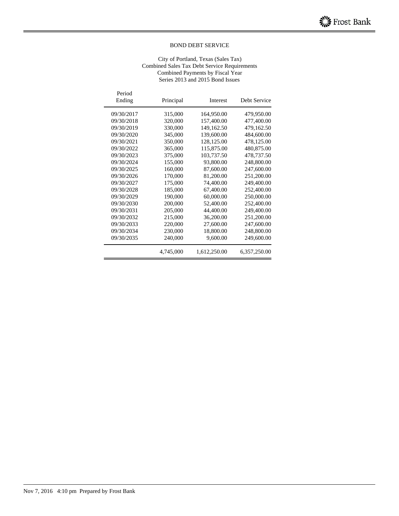#### City of Portland, Texas (Sales Tax) Combined Sales Tax Debt Service Requirements Combined Payments by Fiscal Year Series 2013 and 2015 Bond Issues

| Period<br>Ending | Principal | Interest     | Debt Service |
|------------------|-----------|--------------|--------------|
| 09/30/2017       | 315,000   | 164,950.00   | 479,950.00   |
| 09/30/2018       | 320,000   | 157,400.00   | 477,400.00   |
| 09/30/2019       | 330,000   | 149,162.50   | 479,162.50   |
| 09/30/2020       | 345,000   | 139,600.00   | 484,600.00   |
| 09/30/2021       | 350,000   | 128,125.00   | 478,125.00   |
| 09/30/2022       | 365,000   | 115,875.00   | 480,875.00   |
| 09/30/2023       | 375,000   | 103,737.50   | 478,737.50   |
| 09/30/2024       | 155,000   | 93,800.00    | 248,800.00   |
| 09/30/2025       | 160,000   | 87,600.00    | 247,600.00   |
| 09/30/2026       | 170,000   | 81,200.00    | 251,200.00   |
| 09/30/2027       | 175,000   | 74,400.00    | 249,400.00   |
| 09/30/2028       | 185,000   | 67,400.00    | 252,400.00   |
| 09/30/2029       | 190,000   | 60,000.00    | 250,000.00   |
| 09/30/2030       | 200,000   | 52,400.00    | 252,400.00   |
| 09/30/2031       | 205,000   | 44,400.00    | 249,400.00   |
| 09/30/2032       | 215,000   | 36,200.00    | 251,200.00   |
| 09/30/2033       | 220,000   | 27,600.00    | 247,600.00   |
| 09/30/2034       | 230,000   | 18,800.00    | 248,800.00   |
| 09/30/2035       | 240,000   | 9,600.00     | 249,600.00   |
|                  | 4,745,000 | 1,612,250.00 | 6,357,250.00 |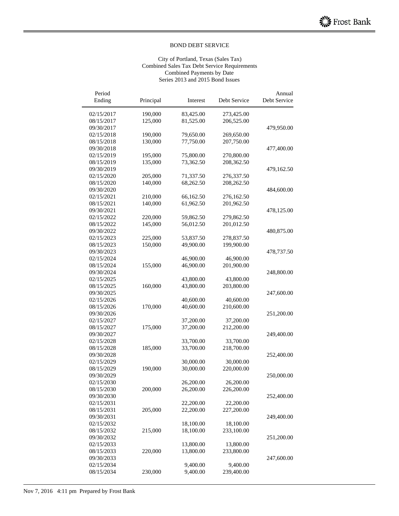#### City of Portland, Texas (Sales Tax) Combined Sales Tax Debt Service Requirements Combined Payments by Date Series 2013 and 2015 Bond Issues

| Period                   |           |                        |              | Annual       |
|--------------------------|-----------|------------------------|--------------|--------------|
| Ending                   | Principal | Interest               | Debt Service | Debt Service |
| 02/15/2017               | 190,000   | 83,425.00              | 273,425.00   |              |
| 08/15/2017               | 125,000   | 81,525.00              | 206,525.00   |              |
| 09/30/2017               |           |                        |              | 479,950.00   |
| 02/15/2018               | 190,000   | 79,650.00              | 269,650.00   |              |
| 08/15/2018               | 130,000   | 77,750.00              | 207,750.00   |              |
| 09/30/2018               |           |                        |              | 477,400.00   |
| 02/15/2019               | 195,000   | 75,800.00              | 270,800.00   |              |
| 08/15/2019               | 135,000   | 73,362.50              | 208,362.50   |              |
| 09/30/2019               |           |                        |              | 479,162.50   |
| 02/15/2020               | 205,000   | 71,337.50              | 276,337.50   |              |
| 08/15/2020               | 140,000   | 68,262.50              | 208,262.50   |              |
| 09/30/2020               |           |                        |              | 484,600.00   |
| 02/15/2021               | 210,000   | 66,162.50              | 276,162.50   |              |
| 08/15/2021               | 140,000   | 61,962.50              | 201,962.50   |              |
| 09/30/2021               |           |                        |              | 478,125.00   |
| 02/15/2022               | 220,000   | 59,862.50              | 279,862.50   |              |
| 08/15/2022               | 145,000   | 56,012.50              | 201,012.50   |              |
| 09/30/2022               |           |                        |              | 480,875.00   |
| 02/15/2023               | 225,000   | 53,837.50              | 278,837.50   |              |
| 08/15/2023               | 150,000   | 49,900.00              | 199,900.00   |              |
| 09/30/2023               |           |                        |              | 478,737.50   |
| 02/15/2024               |           | 46,900.00              | 46,900.00    |              |
| 08/15/2024               | 155,000   | 46,900.00              | 201,900.00   |              |
| 09/30/2024               |           |                        |              | 248,800.00   |
| 02/15/2025               |           | 43,800.00              | 43,800.00    |              |
| 08/15/2025               | 160,000   | 43,800.00              | 203,800.00   |              |
| 09/30/2025               |           |                        |              | 247,600.00   |
| 02/15/2026               |           | 40,600.00              | 40,600.00    |              |
| 08/15/2026               | 170,000   | 40,600.00              | 210,600.00   |              |
| 09/30/2026               |           |                        |              | 251,200.00   |
| 02/15/2027               |           | 37,200.00              | 37,200.00    |              |
| 08/15/2027               | 175,000   | 37,200.00              | 212,200.00   |              |
| 09/30/2027               |           |                        |              | 249,400.00   |
| 02/15/2028               |           | 33,700.00              | 33,700.00    |              |
| 08/15/2028               | 185,000   | 33,700.00              | 218,700.00   |              |
| 09/30/2028               |           |                        |              | 252,400.00   |
| 02/15/2029<br>08/15/2029 |           | 30,000.00              | 30,000.00    |              |
| 09/30/2029               | 190,000   | 30,000.00              | 220,000.00   |              |
|                          |           |                        |              | 250,000.00   |
| 02/15/2030               |           | 26,200.00<br>26,200.00 | 26,200.00    |              |
| 08/15/2030<br>09/30/2030 | 200,000   |                        | 226,200.00   |              |
| 02/15/2031               |           | 22,200.00              | 22,200.00    | 252,400.00   |
| 08/15/2031               | 205,000   | 22,200.00              | 227,200.00   |              |
| 09/30/2031               |           |                        |              | 249,400.00   |
| 02/15/2032               |           | 18,100.00              | 18,100.00    |              |
| 08/15/2032               | 215,000   | 18,100.00              | 233,100.00   |              |
| 09/30/2032               |           |                        |              | 251,200.00   |
| 02/15/2033               |           | 13,800.00              | 13,800.00    |              |
| 08/15/2033               | 220,000   | 13,800.00              | 233,800.00   |              |
| 09/30/2033               |           |                        |              | 247,600.00   |
| 02/15/2034               |           | 9,400.00               | 9,400.00     |              |
| 08/15/2034               | 230,000   | 9,400.00               | 239,400.00   |              |
|                          |           |                        |              |              |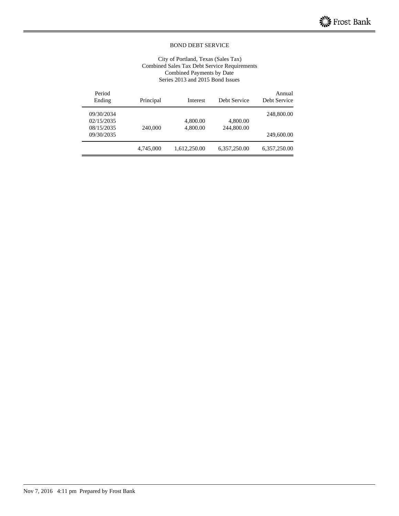#### City of Portland, Texas (Sales Tax) Combined Sales Tax Debt Service Requirements Combined Payments by Date Series 2013 and 2015 Bond Issues

| Annual<br>Debt Service | Debt Service | Interest     | Principal | Period<br>Ending |
|------------------------|--------------|--------------|-----------|------------------|
| 248,800.00             |              |              |           | 09/30/2034       |
|                        | 4,800.00     | 4,800.00     |           | 02/15/2035       |
|                        | 244,800.00   | 4,800.00     | 240,000   | 08/15/2035       |
| 249,600.00             |              |              |           | 09/30/2035       |
| 6,357,250.00           | 6,357,250.00 | 1,612,250.00 | 4,745,000 |                  |
|                        |              |              |           |                  |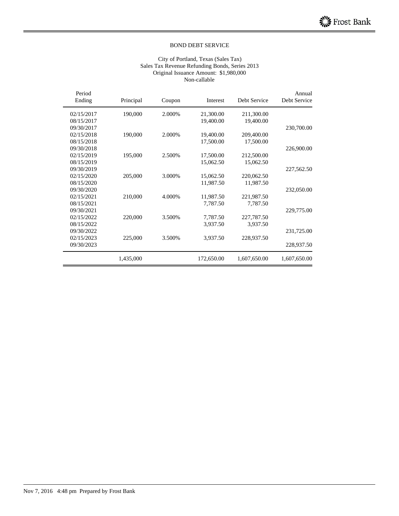#### City of Portland, Texas (Sales Tax) Sales Tax Revenue Refunding Bonds, Series 2013 Original Issuance Amount: \$1,980,000 Non-callable

| Period<br>Ending | Principal | Coupon | Interest   | Debt Service | Annual<br>Debt Service |
|------------------|-----------|--------|------------|--------------|------------------------|
| 02/15/2017       | 190,000   | 2.000% | 21,300.00  | 211,300.00   |                        |
| 08/15/2017       |           |        | 19,400.00  | 19,400.00    |                        |
| 09/30/2017       |           |        |            |              | 230,700.00             |
| 02/15/2018       | 190,000   | 2.000% | 19,400.00  | 209,400.00   |                        |
| 08/15/2018       |           |        | 17,500.00  | 17,500.00    |                        |
| 09/30/2018       |           |        |            |              | 226,900.00             |
| 02/15/2019       | 195,000   | 2.500% | 17,500.00  | 212,500.00   |                        |
| 08/15/2019       |           |        | 15,062.50  | 15,062.50    |                        |
| 09/30/2019       |           |        |            |              | 227,562.50             |
| 02/15/2020       | 205,000   | 3.000% | 15,062.50  | 220,062.50   |                        |
| 08/15/2020       |           |        | 11,987.50  | 11,987.50    |                        |
| 09/30/2020       |           |        |            |              | 232,050.00             |
| 02/15/2021       | 210,000   | 4.000% | 11,987.50  | 221,987.50   |                        |
| 08/15/2021       |           |        | 7,787.50   | 7,787.50     |                        |
| 09/30/2021       |           |        |            |              | 229,775.00             |
| 02/15/2022       | 220,000   | 3.500% | 7,787.50   | 227,787.50   |                        |
| 08/15/2022       |           |        | 3,937.50   | 3,937.50     |                        |
| 09/30/2022       |           |        |            |              | 231,725.00             |
| 02/15/2023       | 225,000   | 3.500% | 3,937.50   | 228,937.50   |                        |
| 09/30/2023       |           |        |            |              | 228,937.50             |
|                  | 1,435,000 |        | 172,650.00 | 1,607,650.00 | 1,607,650.00           |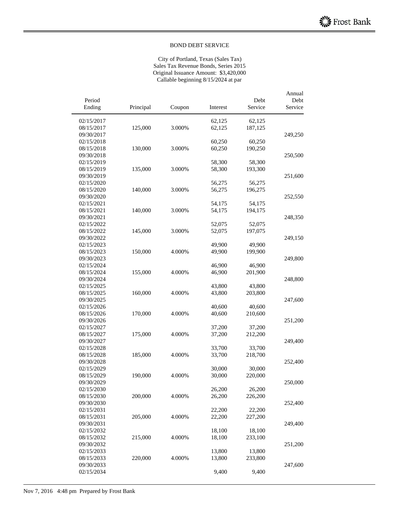City of Portland, Texas (Sales Tax) Sales Tax Revenue Bonds, Series 2015 Original Issuance Amount: \$3,420,000 Callable beginning 8/15/2024 at par

| Period<br>Ending | Principal | Coupon | Interest | Debt<br>Service | Annual<br>Debt<br>Service |
|------------------|-----------|--------|----------|-----------------|---------------------------|
|                  |           |        |          |                 |                           |
| 02/15/2017       |           |        | 62,125   | 62,125          |                           |
| 08/15/2017       | 125,000   | 3.000% | 62,125   | 187,125         |                           |
| 09/30/2017       |           |        |          |                 | 249,250                   |
| 02/15/2018       |           |        | 60,250   | 60,250          |                           |
| 08/15/2018       | 130,000   | 3.000% | 60,250   | 190,250         |                           |
| 09/30/2018       |           |        |          |                 | 250,500                   |
| 02/15/2019       |           |        | 58,300   | 58,300          |                           |
| 08/15/2019       | 135,000   | 3.000% | 58,300   | 193,300         |                           |
| 09/30/2019       |           |        |          |                 | 251,600                   |
| 02/15/2020       |           |        | 56,275   | 56,275          |                           |
| 08/15/2020       | 140,000   | 3.000% | 56,275   | 196,275         |                           |
| 09/30/2020       |           |        |          |                 | 252,550                   |
| 02/15/2021       |           |        | 54,175   | 54,175          |                           |
| 08/15/2021       | 140,000   | 3.000% | 54,175   | 194,175         |                           |
| 09/30/2021       |           |        |          |                 | 248,350                   |
| 02/15/2022       |           |        | 52,075   | 52,075          |                           |
| 08/15/2022       | 145,000   | 3.000% | 52,075   | 197,075         |                           |
| 09/30/2022       |           |        |          |                 | 249,150                   |
| 02/15/2023       |           |        | 49,900   | 49,900          |                           |
| 08/15/2023       | 150,000   | 4.000% | 49,900   | 199,900         |                           |
| 09/30/2023       |           |        |          |                 | 249,800                   |
| 02/15/2024       |           |        | 46,900   | 46,900          |                           |
| 08/15/2024       | 155,000   | 4.000% | 46,900   | 201,900         |                           |
| 09/30/2024       |           |        |          |                 | 248,800                   |
| 02/15/2025       |           |        | 43,800   | 43,800          |                           |
| 08/15/2025       | 160,000   | 4.000% | 43,800   | 203,800         |                           |
| 09/30/2025       |           |        |          |                 | 247,600                   |
| 02/15/2026       |           |        | 40,600   | 40,600          |                           |
| 08/15/2026       | 170,000   | 4.000% | 40,600   | 210,600         |                           |
| 09/30/2026       |           |        |          |                 | 251,200                   |
| 02/15/2027       |           |        | 37,200   | 37,200          |                           |
| 08/15/2027       | 175,000   | 4.000% | 37,200   | 212,200         |                           |
| 09/30/2027       |           |        |          |                 | 249,400                   |
| 02/15/2028       |           |        | 33,700   | 33,700          |                           |
| 08/15/2028       | 185,000   | 4.000% | 33,700   | 218,700         |                           |
| 09/30/2028       |           |        |          |                 | 252,400                   |
| 02/15/2029       |           |        | 30,000   | 30,000          |                           |
| 08/15/2029       | 190,000   | 4.000% | 30,000   | 220,000         |                           |
| 09/30/2029       |           |        |          |                 | 250,000                   |
| 02/15/2030       |           |        | 26,200   | 26,200          |                           |
| 08/15/2030       | 200,000   | 4.000% | 26,200   | 226,200         |                           |
| 09/30/2030       |           |        |          |                 | 252,400                   |
| 02/15/2031       |           |        | 22,200   | 22,200          |                           |
| 08/15/2031       | 205,000   | 4.000% | 22,200   | 227,200         |                           |
| 09/30/2031       |           |        |          |                 | 249,400                   |
| 02/15/2032       |           |        | 18,100   | 18,100          |                           |
| 08/15/2032       | 215,000   | 4.000% | 18,100   | 233,100         |                           |
| 09/30/2032       |           |        |          |                 | 251,200                   |
| 02/15/2033       |           |        | 13,800   | 13,800          |                           |
| 08/15/2033       | 220,000   | 4.000% | 13,800   | 233,800         |                           |
| 09/30/2033       |           |        |          |                 | 247,600                   |
| 02/15/2034       |           |        | 9,400    | 9,400           |                           |
|                  |           |        |          |                 |                           |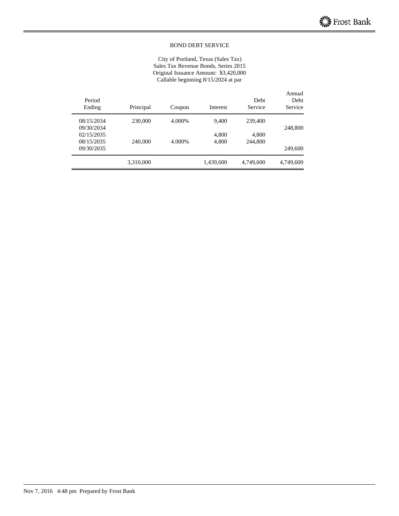City of Portland, Texas (Sales Tax) Sales Tax Revenue Bonds, Series 2015 Original Issuance Amount: \$3,420,000 Callable beginning 8/15/2024 at par

| Annual<br>Debt<br>Service | Debt<br>Service | Interest  | Coupon | Principal | Period<br>Ending |
|---------------------------|-----------------|-----------|--------|-----------|------------------|
|                           | 239,400         | 9,400     | 4.000% | 230,000   | 08/15/2034       |
| 248,800                   |                 |           |        |           | 09/30/2034       |
|                           | 4,800           | 4,800     |        |           | 02/15/2035       |
|                           | 244,800         | 4,800     | 4.000% | 240,000   | 08/15/2035       |
| 249,600                   |                 |           |        |           | 09/30/2035       |
| 4,749,600                 | 4,749,600       | 1,439,600 |        | 3,310,000 |                  |